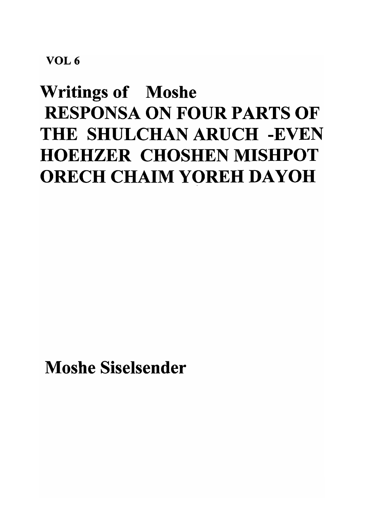## VOL 6

# Writings of Moshe RESPONSA ON FOUR PARTS OF THE SHULCHAN ARUCH -EVEN HOEHZER CHOSHEN MISHPOT ORECH CHAIM YOREH DAYOH

Moshe Siselsender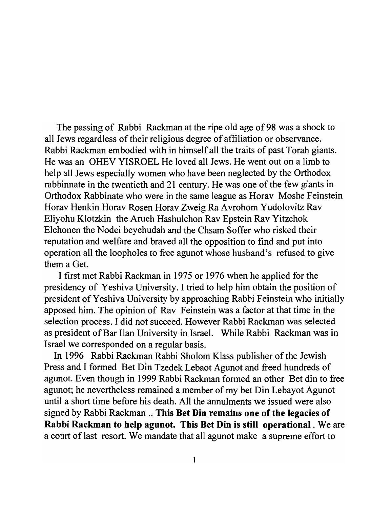The passing of Rabbi Rackman at the ripe old age of 98 was a shock to all Jews regardless of their religious degree of affiliation or observance. Rabbi Rackrnan embodied with in himself all the traits of past Torah giants. He was an OHEV YISROEL He loved all Jews. He went out on a limb to help all Jews especially women who have been neglected by the Orthodox rabbinnate in the twentieth and 21 century. He was one of the few giants in Orthodox Rabbinate who were in the same league as Horav Moshe Feinstein Horav Henkin Horav Rosen Horav Zweig Ra Avrohom Yudolovitz Rav Eliyohu Klotzkin the Aruch Hashulchon Rav Epstein Rav Yitzchok Elchonen the Nodei beyehudah and the Chsam Soffer who risked their reputation and welfare and braved all the opposition to find and put into operation all the loopholes to free agunot whose husband's refused to give them a Get.

I first met Rabbi Rackman in 1975 or 1976 when he applied for the presidency of Yeshiva University. I tried to help him obtain the position of president of Yeshiva University by approaching Rabbi Feinstein who initially apposed him. The opinion of Rav Feinstein was a factor at that time in the selection process. I did not succeed. However Rabbi Rackman was selected as president of Bar Ilan University in Israel. While Rabbi Rackman was in Israel we corresponded on a regular basis.

In 1996 Rabbi Rackman Rabbi Sholom Klass publisher of the Jewish Press and I formed Bet Din Tzedek Lebaot Agunot and freed hundreds of agunot. Even though in 1999 Rabbi Rackrnan formed an other Bet din to free agunot; he nevertheless remained a member of my bet Din Lebayot Agunot until a short time before his death. All the annulments we issued were also signed by Rabbi Rackman .. This Bet Din remains one of the legacies of Rabbi Rackman to help agunot. This Bet Din is still operational. We are a court of last resort. We mandate that all agunot make a supreme effort to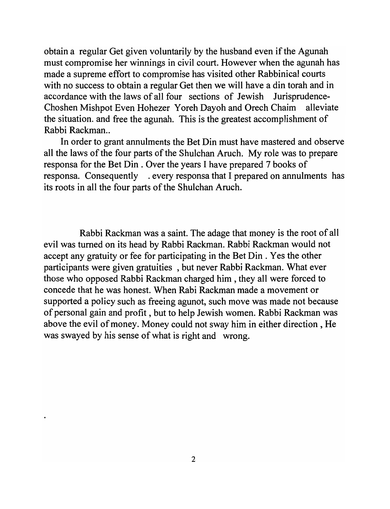obtain a regular Get given voluntarily by the husband even if the Agunah must compromise her winnings in civil court. However when the agunah has made a supreme effort to compromise has visited other Rabbinical courts with no success to obtain a regular Get then we will have a din torah and in accordance with the laws of all four sections of Jewish Jurisprudence-Choshen Mishpot Even Hohezer Y oreh Dayoh and Orech Chaim alleviate the situation. and free the agunah. This is the greatest accomplishment of Rabbi Rackman...

In order to grant annulments the Bet Din must have mastered and observe all the laws of the four parts of the Shulchan Aruch. My role was to prepare responsa for the Bet Din. Over the years I have prepared 7 books of responsa. Consequently . every responsa that I prepared on annulments has its roots in all the four parts of the Shulchan Aruch.

Rabbi Rackrnan was a saint. The adage that money is the root of all evil was turned on its head by Rabbi Rackrnan. Rabbi Rackrnan would not accept any gratuity or fee for participating in the Bet Din. Yes the other participants were given gratuities, but never Rabbi Rackman. What ever those who opposed Rabbi Rackman charged him, they all were forced to concede that he was honest. When Rabi Rackrnan made a movement or supported a policy such as freeing agunot, such move was made not because of personal gain and profit, but to help Jewish women. Rabbi Rackman was above the evil of money. Money could not sway him in either direction, He was swayed by his sense of what is right and wrong.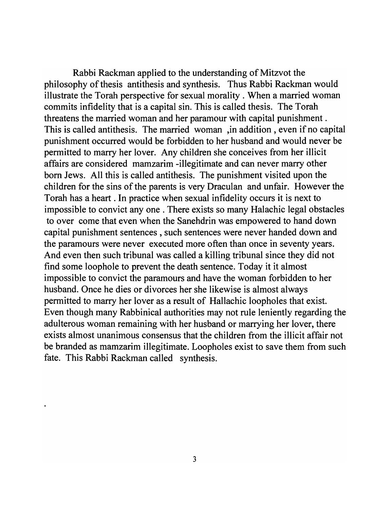Rabbi Rackman applied to the understanding of Mitzvot the philosophy of thesis antithesis and synthesis. Thus Rabbi Rackman would illustrate the Torah perspective for sexual morality. When a married woman commits infidelity that is a capital sin. This is called thesis. The Torah threatens the married woman and her paramour with capital punishment. This is called antithesis. The married woman ,in addition, even if no capital punishment occurred would be forbidden to her husband and would never be permitted to marry her lover. Any children she conceives from her illicit affairs are considered mamzarim -illegitimate and can never marry other born Jews. All this is called antithesis. The punishment visited upon the children for the sins of the parents is very Draculan and unfair. However the Torah has a heart . In practice when sexual infidelity occurs it is next to impossible to convict any one. There exists so many Halachic legal obstacles to over come that even when the Sanehdrin was empowered to hand down capital punishment sentences, such sentences were never handed down and the paramours were never executed more often than once in seventy years. And even then such tribunal was called a killing tribunal since they did not find some loophole to prevent the death sentence. Today it it almost impossible to convict the paramours and have the woman forbidden to her husband. Once he dies or divorces her she likewise is almost always permitted to marry her lover as a result of Hallachic loopholes that exist. Even though many Rabbinical authorities may not rule leniently regarding the adulterous woman remaining with her husband or marrying her lover, there exists almost unanimous consensus that the children from the illicit affair not be branded as mamzarim illegitimate. Loopholes exist to save them from such fate. This Rabbi Rackman called synthesis.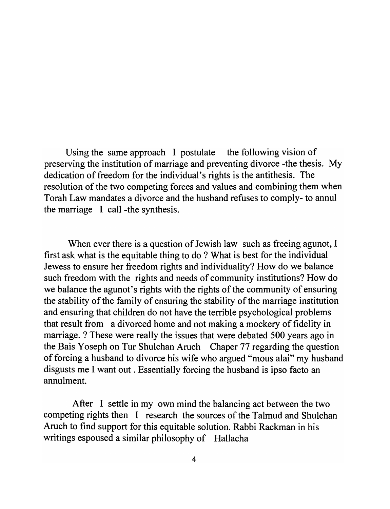Using the same approach I postulate the following vision of preserving the institution of marriage and preventing divorce -the thesis. My dedication of freedom for the individual's rights is the antithesis. The resolution of the two competing forces and values and combining them when Torah Law mandates a divorce and the husband refuses to comply- to annul the marriage I call-the synthesis.

When ever there is a question of Jewish law such as freeing agunot, I first ask what is the equitable thing to do ? What is best for the individual Jewess to ensure her freedom rights and individuality? How do we balance such freedom with the rights and needs of community institutions? How do we balance the agunot's rights with the rights of the community of ensuring the stability of the family of ensuring the stability of the marriage institution and ensuring that children do not have the terrible psychological problems that result from a divorced home and not making a mockery of fidelity in marriage. ? These were really the issues that were debated 500 years ago in the Bais Yoseph on Tur Shulchan Aruch Chaper 77 regarding the question of forcing a husband to divorce his wife who argued "mous alai" my husband disgusts me I want out. Essentially forcing the husband is ipso facto an annulment.

After I settle in my own mind the balancing act between the two competing rights then I research the sources of the Talmud and Shulchan Aruch to find support for this equitable solution. Rabbi Rackman in his writings espoused a similar philosophy of Hallacha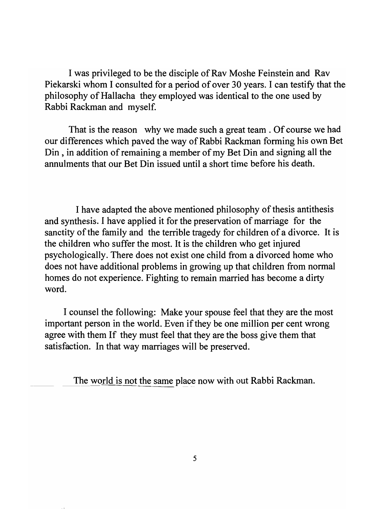I was privileged to be the disciple of Rav Moshe Feinstein and Rav Piekarski whom I consulted for a period of over 30 years. I can testify that the philosophy of Hallacha they employed was identical to the one used by Rabbi Rackman and myself.

That is the reason why we made such a great team . Of course we had our differences which paved the way of Rabbi Rackman forming his own Bet Din, in addition of remaining a member of my Bet Din and signing all the annulments that our Bet Din issued until a short time before his death.

I have adapted the above mentioned philosophy of thesis antithesis and synthesis. I have applied it for the preservation of marriage for the sanctity of the family and the terrible tragedy for children of a divorce. It is the children who suffer the most. It is the children who get injured psychologically. There does not exist one child from a divorced home who does not have additional problems in growing up that children from normal homes do not experience. Fighting to remain married has become a dirty word.

I counsel the following: Make your spouse feel that they are the most important person in the world. Even if they be one million per cent wrong agree with them If they must feel that they are the boss give them that satisfaction. In that way marriages will be preserved.

The world is not the same place now with out Rabbi Rackman.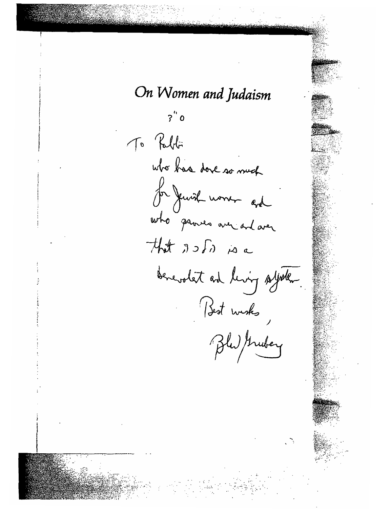On Women and Judaism  $2^{\prime\prime}$ To Pablo who has done so much for Jewish women and that As for is a benevolet and living system. Best wisks,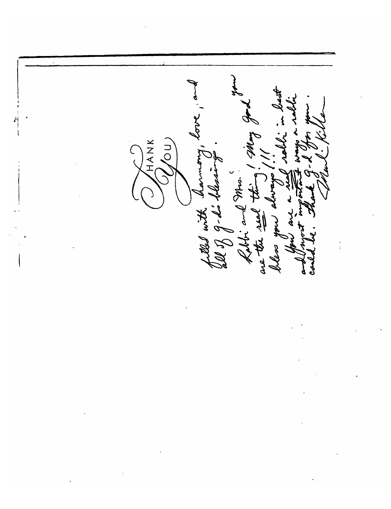HANK /ou) filled with having<br>all of d'ail their<br>hal the seal thing Dless Ê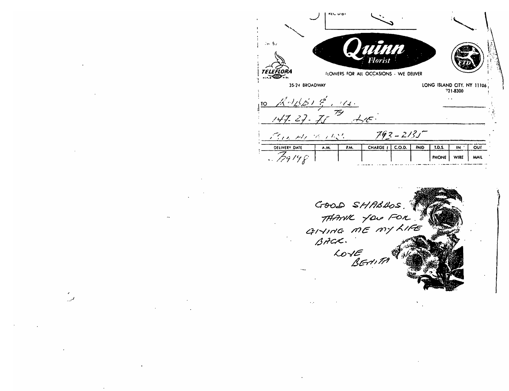



فمنورد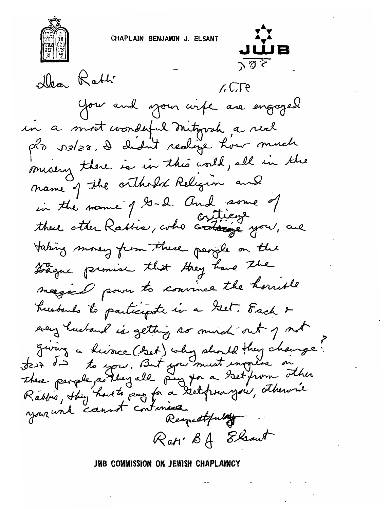CHAPLAIN BENJAMIN J. ELSANT



 $\sqrt{3}$ Dear Rabh  $\lambda \sqrt{2}$ You and your wife are engaged in a most wonderful mitigoah a real pls szlzs. I chant realize how much misery there is in this world, all in the name of the orthodox Religion and in the name of G-2. And some of<br>these other Rabbia, who criticent you, are taking money from these people on the trague promise that they have the magical power to convince the hornble husbands to participate in a Gest. Each & every husband is getting so much out of not Fiving a histoire (Set) why should they change.<br>Jest de to you. But you must ingress on<br>these people as they all pay you a set from other<br>Rabbis, they have to pay for a set from you, otherwise

Rati B& Elsout JWB COMMISSION ON JEWISH CHAPLAINCY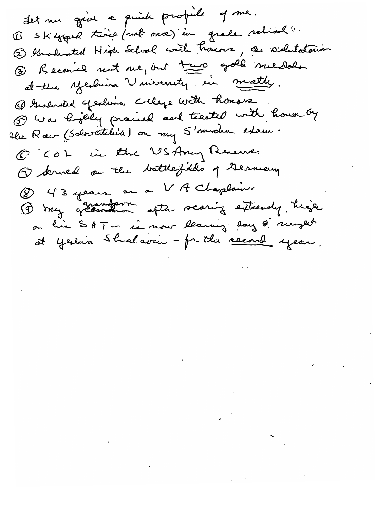det me goine a quick propile of me. 1) Skiffard trine (not once) in grade schiool 2 Graduated High School with honors, as sidulatorian 1) Received not me, but towo gold medale at the yeshina Vinivenity in math. @ Gustrated yeshing College with honors (3) Was highly proceed and treated with house by He Raw (Sobretiliste) on my S'modern estace. O COL in the USArry Revene. 1 Served on the battlefields of Germany (8) 43 years au a VA Chaplain. 4 my grandom after scaring entready, high on his SAT - is now learning lay & newset at yestina Stralavin - for the second year,

 $\label{eq:2.1} \frac{1}{\sqrt{2}}\int_{\mathbb{R}^3}\frac{1}{\sqrt{2}}\left(\frac{1}{\sqrt{2}}\right)^2\frac{1}{\sqrt{2}}\left(\frac{1}{\sqrt{2}}\right)^2\frac{1}{\sqrt{2}}\left(\frac{1}{\sqrt{2}}\right)^2\frac{1}{\sqrt{2}}\left(\frac{1}{\sqrt{2}}\right)^2\frac{1}{\sqrt{2}}\left(\frac{1}{\sqrt{2}}\right)^2\frac{1}{\sqrt{2}}\left(\frac{1}{\sqrt{2}}\right)^2\frac{1}{\sqrt{2}}\left(\frac{1}{\sqrt{2}}\right)^2\frac{1}{\sqrt{$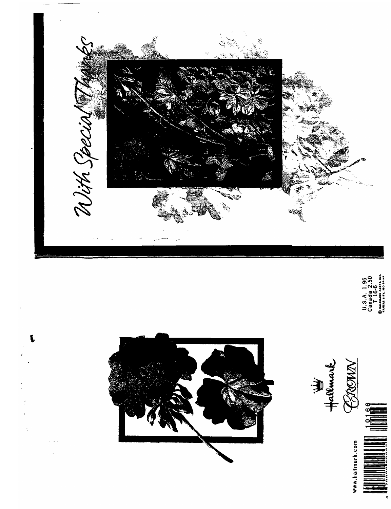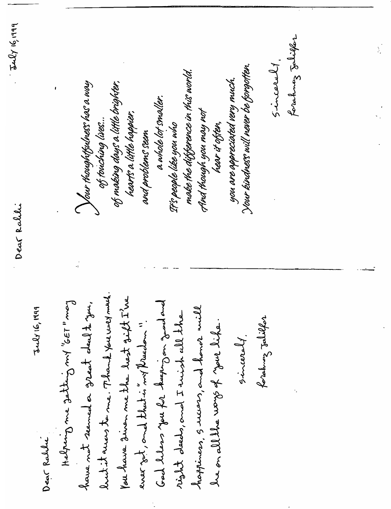$-542$  1919 forahong Jalikar  $sim$ carely . Your kindness will never be forgotten. make the difference in this world. you are appreciated very much. of moking dous a little brighter, Your thoughtfulness has a way a whole lot smaller. And though you may not hearts a little happier, of touching lives... It's people like you who hear it offen, and problems seem Dear Ralilli luck it away to me. Thank you well much. You have 3inen me the lest sift I've frans " ISS" tron Gutter em Gueslat Ged helens you for haping on great and have not seemed a great deal to you.  $J+2y6, 1999$ hoppiness, Success, and homer will wight deeds, and I wish all the forahouz Jalilfor he on all the ways of your like. ever zet, and that is not preachen ".  $sim$  and  $l$ . Dear Rabbi

 $\sum_{i=1}^{n}$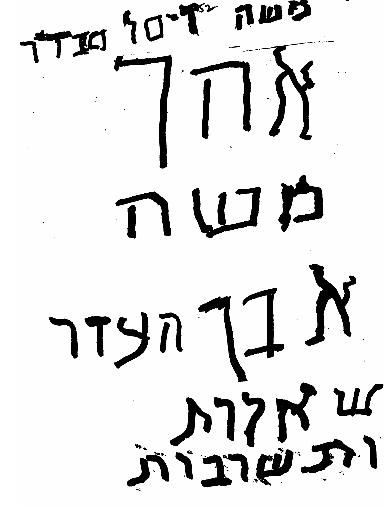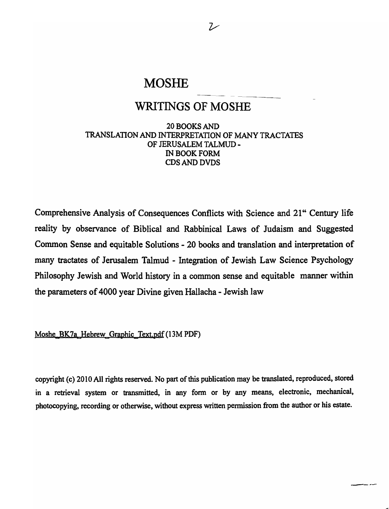### **MOSHE**

### WRITINGS OF MOSHE

20 BOOKS AND TRANSLATION AND INTERPRETATION OF MANY TRACTATES OF JERUSALEM TALMUD - IN BOOK FORM CDS AND DVDS

Comprehensive Analysis of Consequences Conflicts with Science and 21" Century life reality by observance of Biblical and Rabbinical Laws of Judaism and Suggested Common Sense and equitable Solutions - 20 books and translation and interpretation of many tractates of Jerusalem Talmud - Integration of Jewish Law Science Psychology Philosophy Jewish and World history in a common sense and equitable manner within the parameters of 4000 year Divine given Hallacha - Jewish law

Moshe BK7a Hebrew Graphic Text.pdf (13M PDF)

copyright (c) 2010 All rights reserved. No part of this publication may be translated, reproduced, stored in a retrieval system or transmitted, in any fonn or by any means, electronic, mechanical, photocopying, recording or otherwise, without express written permission from the author or his estate.

سنام بسدم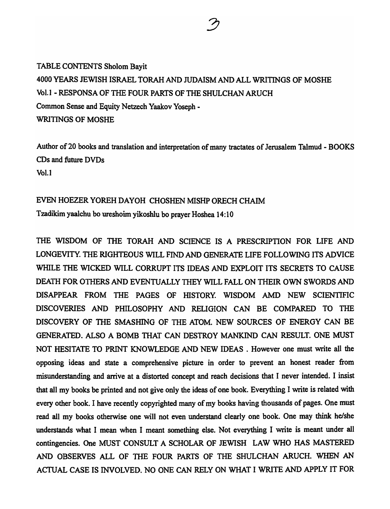TABLE CONTENTS Sholom Bayit 4000 YEARS JEWISH ISRAEL TORAH AND JUDAISM AND ALL WRITINGS OF MOSHE Vol.1 - RESPONSA OF THE FOUR PARTS OF THE SHULCHAN ARUCH Common Sense and Equity Netzech Yaakov Yoseph - WRITINGS OF MOSHE

Author of 20 books and translation and interpretation of many tractates of Jerusalem Talmud - BOOKS CDs and future DVDs Vol. I

### EVEN HOEZER YOREH DAYOH CHOSHEN MISHP ORECH CHAIM

Tzadikim yaaIchu bo ureshoim yikoshlu bo prayer Hoshea 14: 1 0

THE WISDOM OF THE TORAH AND SCIENCE IS A PRESCRIPTION FOR LIFE AND LONGEVITY. THE RIGHTEOUS WILL FIND AND GENERATE LIFE FOLLOWING ITS ADVICE WHILE THE WICKED WILL CORRUPT ITS IDEAS AND EXPLOIT ITS SECRETS TO CAUSE DEATH FOR OTHERS AND EVENTUALLY THEY WILL FALL ON THEIR OWN SWORDS AND DISAPPEAR FROM THE PAGES OF HISTORY. WISDOM AMD NEW SCIENTIFIC DISCOVERIES AND PHILOSOPHY AND RELIGION CAN BE COMPARED TO THE DISCOVERY OF THE SMASHING OF THE ATOM. NEW SOURCES OF ENERGY CAN BE GENERATED. ALSO A BOMB TIlAT CAN DESTROY MANKIND CAN RESULT. ONE MUST NOT HESITATE TO PRINT KNOWLEDGE AND NEW IDEAS . However one must write all the opposing ideas and state a comprehensive picture in order to prevent an honest reader from misunderstanding and arrive at a distorted concept and reach decisions that I never intended. I insist that all my books be printed and not give only the ideas of one book. Everything I write is related with every other book. I have recently copyrighted many of my books having thousands of pages. One must read all my books otherwise one will not even understand clearly one book. One may think he/she understands what I mean when I meant something else. Not everything I write is meant under all contingencies. One MUST CONSULT A SCHOLAR OF JEWISH LAW WHO HAS MASTERED AND OBSERVES ALL OF THE FOUR PARTS OF THE SHULCHAN ARUCH. WHEN AN ACTUAL CASE IS INVOLVED. NO ONE CAN RELY ON WHAT I WRITE AND APPLY IT FOR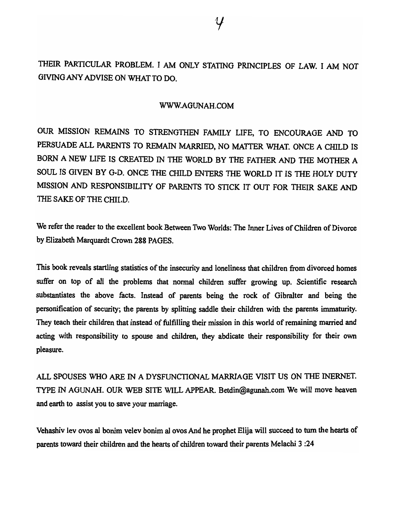THEIR PARTICULAR PROBLEM. I AM ONLY STATING PRINCIPLES OF LAW. I AM NOT GIVING ANY ADVISE ON WHAT TO DO.

#### WWW.AGUNAH.COM

OUR MISSION REMAINS TO STRENGTHEN FAMILY LIFE, TO ENCOURAGE AND TO PERSUADE ALL PARENTS TO REMAIN MARRIED, NO MATTER WHAT. ONCE A CHILD IS BORN A NEW LIFE IS CREATED IN THE WORLD BY THE FATHER AND THE MOTHER A SOUL IS GIVEN BY G-D. ONCE THE CHILD ENTERS THE WORLD IT IS THE HOLY DUTY MISSION AND RESPONSIBILITY OF PARENTS TO STICK IT OUT FOR THEIR SAKE AND THE SAKE OF THE CHILD.

We refer the reader to the excellent book Between Two Worlds: The Inner Lives of Children of Divorce by Elizabeth Marquardt Crown 288 PAGES.

This book reveals startling statistics of the insecwity and loneliness that children from divorced homes suffer on top of all the problems that normal children suffer growing up. Scientific research substantiates the above facts. Instead of parents being the rock of Gibralter and being the personification of security; the parents by splitting saddle their children with the parents immaturity. They teach their children that instead of fulfilling their mission in this world of remaining married and acting with responsibility to spouse and children, they abdicate their responsibility for their own pleasure.

ALL SPOUSES WHO ARE IN A DYSFUNCTIONAL MARRIAGE VISIT US ON THE INERNET. TYPE IN AGUNAH. OUR WEB SITE WILL APPEAR. Betdin@agunah.com We will move heaven and earth to assist you to save your marriage.

Vehashiv lev ovos a! bonim velev bonim a! ovos And he prophet Elija will succeed to tum the hearts of parents toward their children and the hearts of children toward their parents Melachi 3 :24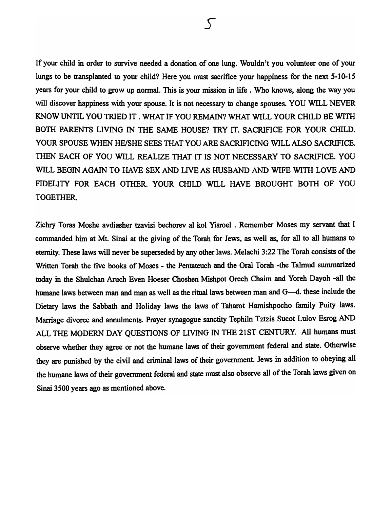If your child in order to survive needed a donation of one lung. Wouldn't you volunteer one of your lungs to be transplanted to your child? Here you must sacrifice your happiness for the next 5-10-15 years for your child to grow up normal. This is your mission in life. Who knows, along the way you will discover happiness with your spouse. It is not necessary to change spouses. YOU WILL NEVER KNOW UNTIL YOU TRIED IT . WHAT IF YOU REMAIN? WHAT WILL YOUR CHILD BE WITH BOTH PARENTS LIVING IN THE SAME HOUSE? TRY IT. SACRIFICE FOR YOUR CHILD. YOUR SPOUSE WHEN HE/SHE SEES THAT YOU ARE SACRIFICING WILL ALSO SACRIFICE. THEN EACH OF YOU WILL REALIZE THAT IT IS NOT NECESSARY TO SACRIFICE. YOU WILL BEGIN AGAIN TO HAVE SEX AND LIVE AS HUSBAND AND WIFE WITH LOVE AND FIDELITY FOR EACH OTHER. YOUR CHILD WILL HAVE BROUGHT BOTH OF YOU TOGETHER.

Zichry Toras Moshe avdiasher tzavisi bechorev al kol Yisroel . Remember Moses my servant that I commanded him at Mt. Sinai at the giving of the Torah for Jews, as well as, for all to all humans to eternity. These laws will never be superseded by any other laws. Melachi 3 :22 The Torah consists of the Written Torah the five books of Moses - the Pentateuch and the Oral Torah -the Talmud summarized today in the Shulchan Aruch Even Hoeser Choshen Mishpot Orech Chaim and Yoreh Dayoh -all the humane laws between man and man as well as the ritual laws between man and G--d. these include the Dietary laws the Sabbath and Holiday laws the laws of Taharot Hamishpocho family Puity laws. Marriage divorce and annulments. Prayer synagogue sanctity Tephiln Tztzis Sucot Lulov Esrog AND ALL THE MODERN DAY QUESTIONS OF LIVING IN THE 21ST CENTURY. All humans must observe whether they agree or not the humane laws of their government federal and state. Otherwise they are punished by the civil and criminal laws of their government. Jews in addition to obeying all the humane laws of their government federal and state must also observe all of the Torah laws given on Sinai 3500 years ago as mentioned above.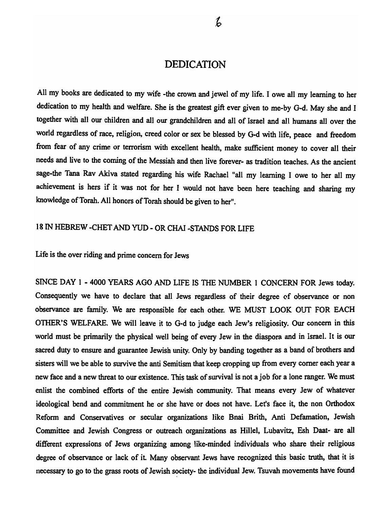### DEDICATION

All my books are dedicated to my wife -the crown and jewel of my life. I owe all my learning to her dedication to my health and welfare. She is the greatest gift ever given to me-by G-d. May she and I together with all our children and all our grandchildren and all of Israel and all humans allover the world regardless of race, religion, creed color or sex be blessed by G-d with life, peace and freedom from fear of any crime or terrorism with excellent health, make sufficient money to cover all their needs and live to the coming of the Messiah and then live forever- as tradition teaches. As the ancient sage-the Tana Rav Akiva stated regarding his wife Rachael "all my learning I owe to her all my achievement is hers if it was not for her I would not have been here teaching and sharing my knowledge of Torah. All honors of Torah should be given to her".

### 18 IN HEBREW -CHET AND YUD - OR CHAI -STANDS FOR LIFE

Life is the over riding and prime concern for Jews

SINCE DAY 1 - 4000 YEARS AGO AND LIFE IS THE NUMBER 1 CONCERN FOR Jews today. Consequently we have to declare that all Jews regardless of their degree of observance or non observance are family. We are responsible for each other. WE MUST LOOK OUT FOR EACH OTHER'S WELFARE. We will leave it to G-d to judge each Jew's religiosity. Our concern in this world must be primarily the physical well being of every Jew in the diaspora and in Israel. It is our sacred duty to ensure and guarantee Jewish unity. Only by banding together as a band of brothers and sisters will we be able to survive the anti Semitism that keep cropping up from every comer each year a new face and a new threat to our existence. This task of survival is not a job for a lone ranger. We must enlist the combined efforts of the entire Jewish community. That means every Jew of whatever ideological bend and commitment he or she have or does not have. Let's face it, the non Orthodox Reform and Conservatives or secular organizations like Bnai Brith, Anti Defamation, Jewish Committee and Jewish Congress or outreach organizations as Hillel, Lubavitz, Esh Daat- are all different expressions of Jews organizing among like-minded individuals who share their religious degree of observance or lack of it Many observant Jews have recognized this basic truth, that it is necessary to go to the grass roots of Jewish society- the individual Jew. Tsuvah movements have found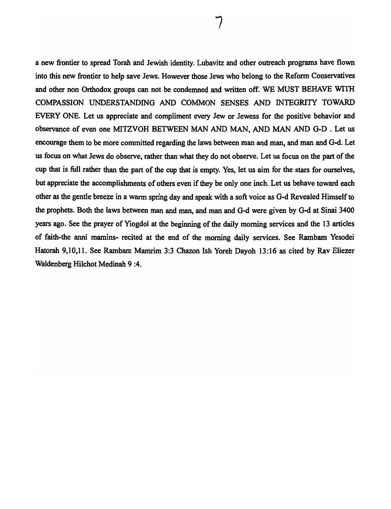a new frontier to spread Torah and Jewish identity. Lubavitz and other outreach programs have flown into this new frontier to help save Jews. However those Jews who belong to the Reform Conservatives and other non Orthodox groups can not be condemned and written off. WE MUST BEHAVE WITH COMPASSION UNDERSTANDING AND COMMON SENSES AND INTEGRITY TOWARD EVERY ONE. Let us appreciate and compliment every Jew or Jewess for the positive behavior and observance of even one MITZVOH BETWEEN MAN AND MAN, AND MAN AND G-D . Let us encourage them to be more committed regarding the laws between man and man, and man and G-d. Let us focus on what Jews do observe, rather than what they do not observe. Let us focus on the part of the cup that is full rather than the part of the cup that is empty. Yes, let us aim for the stars for ourselves, but appreciate the accomplishments of others even if they be only one inch. Let us behave toward each other as the gentle breeze in a warm spring day and speak with a soft voice as G-d Revealed Himself to the prophets. Both the laws between man and man, and man and G-d were given by G-d at Sinai 3400 years ago. See the prayer of Yiogdol at the beginning of the daily morning services and the 13 articles of faith-the anni mamins- recited at the end of the morning daily services. See Rambam Yesodei Hatorah 9,10,11. See Rambam Mamrim 3:3 Chazon Ish Yoreh Dayoh 13:16 as cited by Rav Eliezer Waldenberg Hilchot Medinah 9 :4.

7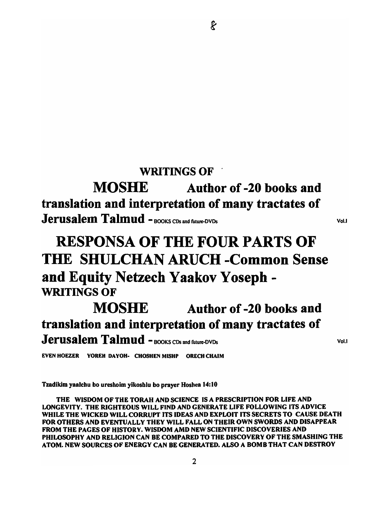### WRITINGS OF

MOSHE Author of -20 books and translation and interpretation of many tractates of Jerusalem Talmud -BOOKS CDs and future-DVDs

# RESPONSA OF THE FOUR PARTS OF THE SHULCHAN ARUCH -Common Sense and Equity Netzech Yaakov Yosepb-WRITINGS OF

# MOSHE Author of -20 books and translation and interpretation of many tractates of Jerusalem Talmud - BOOKS CDs and future-DVDs

EVEN HOEZER YOREH DAYOH- CHOSHEN MISHP ORECH CHAIM

Tzadikim yaalchu bo ureshoim yikoshlu bo prayer Hoshea 14:10

THE WISDOM OF THE TORAH AND SCIENCE IS A PRESCRIPTION FOR LIFE AND LONGEVITY. THE RIGHTEOUS WILL FIND AND GENERATE LIFE FOLLOWING ITS ADVICE WHILE THE WICKED WILL CORRUPT ITS IDEAS AND EXPLOIT ITS SECRETS TO CAUSE DEATH FOR OTHERS AND EVENTUALLY THEY WILL FALL ON THEIR OWN SWORDS AND DISAPPEAR FROM THE PAGES OF HISTORY. WISDOM AMD NEW SCIENTIFIC DISCOVERIES AND PHILOSOPHY AND RELIGION CAN BE COMPARED TO THE DISCOVERY OF THE SMASHING THE ATOM. NEW SOURCES OF ENERGY CAN BE GENERATED. ALSO A BOMB THAT CAN DESTROY

Vol. I

Vol.I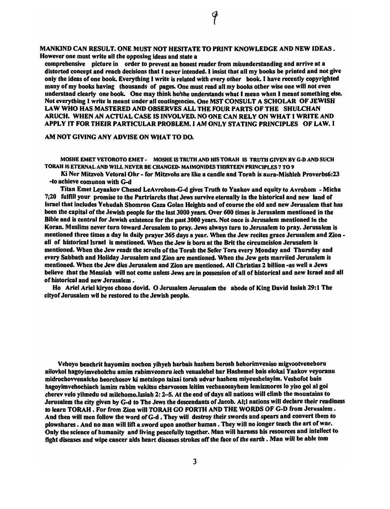MANKIND CAN RESULT. ONE MUST NOT HESITATE TO PRINT KNOWLEDGE AND NEW IDEAS. However one must write all the opposing ideas and state a

comprehensive picture in order to prevent an honest reader from misunderstanding and arrive at a distorted concept and reach decisions that I never intended. I insist that all my books be printed and not give only the ideas of one book. Everything I write is related with every other book. I have recently copyrighted many of my books having thousands of pages. One must read all my books other wise one will not even understand clearly one book. One may think he/she understands what I mean when I meant something else. Not everything I write is meant under all contingencies. One MST CONSULT A SCHOLAR OF JEWISH LAW WHO HAS MASTERED AND OBSERVES ALL THE FOUR PARTS OF THE SHULCHAN ARUCH. WHEN AN ACTUAL CASE IS INVOLVED. NO ONE CAN RELY ON WHAT I WRITE AND APPLY IT FOR THEIR PARTICULAR PROBLEM. I AM ONLY STATING PRINCIPLES OF LAW. I

AM NOT GIVING ANY ADVISE ON WHAT TO DO.

MOSHE EMET VETOROTO EMET - MOSHE IS TRUTH AND HIS TORAH IS TRUTH GIVEN BY G-D AND SUCH TORAH IS ETERNAL AND WILL NEVER BE CHANGED-MAIMONIDES THIRTEEN PRINCIPLES 7 TO 9

Ki Ner Mitzvoh Vetoral Ohr - for Mitzvohs are like a candle and Torah is aura-Mishleh Proverbs6:23 -to achieve comunon with G-d

Titan Emet Leyaakov Chesed LeAvrohom-G-d gives Truth to Yaakov and equity to Avrohom - Micha 7;20 fulfill your promise to the Partriarchs that Jews survive eternally in the historical and new land of Israel that includes Yehudah Shomron Gaza Golan Heights and of course the old and new Jerusalem that has been the capital of the Jewish people for the last 3000 years. Over 600 times is Jerusalem mentioned in the Bible and is central for Jewish existence for the past 3000 years. Not once is Jerusalem mentioned in the Koran. Muslims never turn toward Jerusalem to pray. Jews always turn to Jerusalem to pray. Jerusalem is mentioned three times a day in daily prayer 365 days a year. When the Jew recites grace Jerusalem and Zion all of historical Israel is mentioned. When the Jew is born at the Brit the circumcision Jerusalem is mentioned. When the Jew reads the scrolls of the Torah the Sefer Tora every Monday and Thursday and every Sabbath and Holiday Jerusalem and Zion are mentioned. When the Jew gets marriied Jerusalem is mentioned. When the Jew dies Jerusalem and Zion are mentioned. All Christias 2 billion -as well a Jews believe that the Messiah will not come unless Jews are in possession of all of historical and new Israel and all of historical and new Jerusalem.

Ho Ariel Ariel kirvos chono dovid. O Jerusalem Jerusalem the abode of King David Issiah 29:1 The cityof Jerusalem wil be restored to the Jewish people.

Vehoyo beachrit hayomim nochon yihyeh harbais hashem berosh hehorimveniso migvootvenehoru ailovkol hagoyimveholchu amim rabimveomru lech venaalehel har Hashemel bais elokai Yaakov veyoranu midrochovvenalcho beorchosov ki metxiopn taixai torah udvar hashem miyeushelayim. Veshofot bain hagoyimvehochiach lamim rabim vekitsu charvosom leitim vechanosayhem lemizmoros lo yiso goi al goi cherev velo yilmedu od milchomo. Issiah 2: 2-5. At the end of days all nations will climb the mountains to Jerusalem the city given by G-d to The Jews the descendants of Jacob. Al;l nations will declare their readiness to learn TORAH. For from Zion will TORAH GO FORTH AND THE WORDS OF G-D from Jerusalem. And then will men follow the word of G-d. They will destroy their swords and spears and convert them to plowshares. And no man will lift a sword upon another human. They will no longer teach the art of war. Only the science of humanity and living peacefully together. Man will harness his resources and intellect to fight diseases and wipe cancer aids heart diseases strokes off the face of the earth . Man will be able tom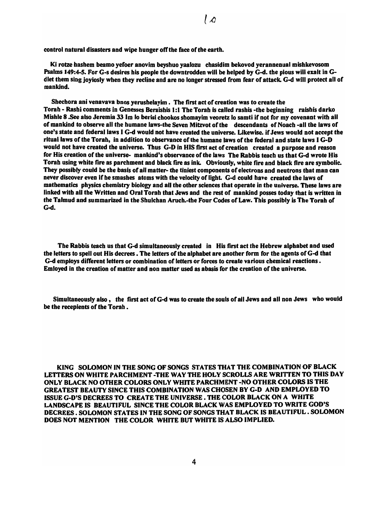control natural disasters and wipe hunger off the faee of the earth.

Ki rotze bashem beamo yefoer anovim beyshuo yaalozu chasidim bekovod yerannenual mishkevosom Psalms 149:4-5. For G-s desires his people the downtrodden will be helped by G-d. the pious will exalt in Gdlet them sing joyiosly when they recline and are no longer stressed from fear of attack. G-d will protect all of mankind.

Shechora ani venavava bnos yerushelayim. The first act of creation was to create the Torah - Rashi comments in Genesses Beraishis 1:1 The Torah is called rashis -the beginning raishis darko Mishle 8 .See also Jeremia J3 1m 10 berisi chookos shomayim veoretz 10 samti if not for my covenant with all of mankind to observe all the humane laws-the Seven Mitzvot of the descendants of Noach -all the laws of one's state and federal laws I G-d would not have created the universe. Likewise. if Jews would not accept the ritual laws of the Torah, in addition to observance of the humane laws of the federal and state laws I G-D would not have created the universe. Thus G-D in HIS first act of creation created a purpose and reason for His creation of the universe- mankind's observance of the laws The Rabbis teach us that G-d wrote His Torah using white fire as parehment and black fire as ink. Obviously, white fire and black fire are symbolic. They possibly could be the basis of all matter- the tiniest components of electrons and neutrons tbat man ean never discover even if he smashes atoms with the velocity of light. G-d could have created the laws of mathematics physics chemistry biology and all the other sciences that operate in the universe. These laws are linked with all the Written and Oral Torah that Jews and the rest of mankind posses today that is written in the Talmud and summarized in the Shulchan Aroch.-the Four Codes of Law. This possibly is The Torah of G-d.

The Rabbis teach us that G-d simultaneously created in His first act the Hebrew alphabet and used the letters to spell out His decrees. The letters of the alphabet are another form for the agents of G-d that G-d employs different letters or combination of letters or forees to create various chemical reactions. Emloyed in the creation of matter and non matter used as abasis for the creation of the universe.

Simultaneously also, the first act of G-d was to create the souls of all Jews and all non Jews who would be the reeepients of the Torah.

KING SOLOMON IN THE SONG OF SONGS STATES THAT THE COMBINATION OF BLACK LETTERS ON WHITE PARCHMENT -THE WAY THE HOLY SCROLLS ARE WRITTEN TO THIS DAY ONLY BLACK NO OTHER COLORS ONLY WHITE PARCHMENT -NO OTHER COLORS IS THE GREATEST BEAUTY SINCE THIS COMBINATION WAS CHOSEN BY G-D AND EMPLOYED TO ISSUE G-D'S DECREES TO CREATE THE UNIVERSE. THE COLOR BLACK ON A WHITE LANDSCAPE IS BEAUTIFUL SINCE THE COLOR BLACK WAS EMPLOYED TO WRITE GOD'S DECREES. SOLOMON STATES IN THE SONG OF SONGS THAT BLACK IS BEAUTIFUL. SOLOMON DOES NOT MENTION THE COLOR WHITE BUT WHITE IS ALSO IMPLIED.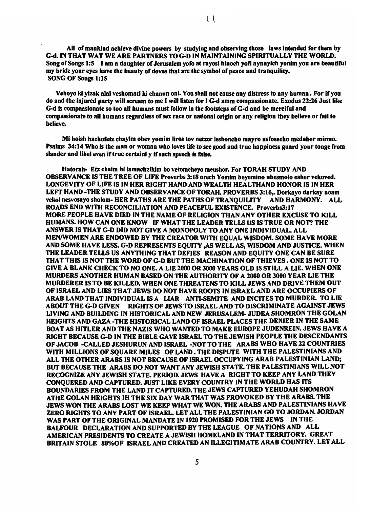$\mathsf{L}$ 

All of mankind achieve divine powers by studying and observing those laws intended for them by G-d. IN THAT WAT WE ARE PARTNERS TO G-D IN MAINTAINING SPIRITUALLY THE WORLD. Song of Songs 1:5 I am a daughter of Jerusalem yofo at rayosi hinoch yofi aynayich yonim you are beautiful my bride your eyes have the beauty of doves that are the symbol of peace and tranquility. SONG OF Songs 1:15

Vehoyo ki yizak alai veshomati ki chanun oni. You shall not cause any distress to any human. For if you do and tbe Injured party will scream to me I will listen for I G-d amm compassionate. Exodus 22:26 Just like G-d is compaasionate so too all bumans must follow in the footsteps of G-d and be merciful and compassionate to all bumans regardless of sex race or national origin or any religion tbey believe or fail to believe.

Mi hoish hachofetz chayim obev yomim liros tov netzor lesboncho mayro usfosecbo medaber mirmo. Psalms 34: 14 Who is the man or woman wbo loves life to see good and true happiness guard your tonge from slander and libel even if true certainl y if such speech is false.

Hatorab- Etz cbaim bi lamachzikim bo vetomcbeyo meushor. For TORAH STUDY AND OBSERVANCE IS THE TREE OF LIFE Proverbs 3:18 orech Yomim beyemino ubesmolo osher vekoved. LONG-EVITY OF LIFE IS IN HER RIGHT HAND AND WEALTH HEALTHAND HONOR IS IN HER LEFT HAND -THE STUDY AND OBSERVANCE OF TORAH. PROVERBS 3:16,. Dorkayo darkay noam vekol nesvosayo sholom- HER PATHS ARE THE PATHS OF TRANQUILITY AND HARMONY. ALL ROADS END WITH RECONCILIATION AND PEACEFUL EXISTENCE. Proverbs3:17 MORE PEOPLE HAVE DIED IN THE NAME OF RELIGION THAN ANY OTHER EXCUSE TO KILL HUMANS. HOW CAN ONE KNOW IF WHAT THE LEADER TELLS US IS TRUE OR NOT? THE ANSWER IS THAT G-D DID NOT GIVE A MONOPOLY TO ANY ONE INDIVIDUAL ALL MENIWOMEN ARE ENDOWED BY THE CREATOR WITH EQUAL WISDOM. SOME HAVE MORE AND SOME HAVE LEss. G-D REPRESENTS EQUITY ,AS WELL AS, WISDOM AND JUSTICE. WHEN THE LEADER TELLS US ANYTHING THAT DEFIES REASON AND EQUITY ONE CAN BE SURE THAT THIS IS NOT THE WORD OF G-D BUT THE MACHINATION OF THIEVES. ONE IS NOT TO GIVE A BLANK CHECK TO NO ONE. A LIE 2000 OR JOOO YEARS OLD IS STILL A LIE. WHEN ONE MURDERS ANOTHER HUMAN BASED ON THE AUTHORITY OF A 2000 OR 3000 YEAR LIE THE MURDERER IS TO BE KILLED. WHEN ONE THREATENS TO KILL JEWS AND DRIVE THEM OUT OF ISRAEL AND LIES THAT JEWS DO NOT HAVE ROOTS IN ISRAEL AND ARE OCCUPIERS OF ARAB LAND THAT INDIVIDUAL IS A LIAR ANTI-SEMITE AND INCITES TO MURDER. TO LIE ABOUT THE G-D GIVEN RIGHTS OF JEWS TO ISRAEL AND TO DISCRIMINATE AGAINST JEWS LIVING AND BUILDING IN HISTORICAL AND NEW JERUSALEM- JUDEA SHOMRON THE GOLAN HEIGHTS AND GAZA -THE HISTORICAL LAND OF ISRAEL PLACES THE DENIER IN THE SAME BOAT AS HITLER AND THE NAZIS WHO WANTED TO MAKE EUROPE JUDENREIN. JEWS HAVE A RIGHT BECAUSE G-D IN THE BIBLE GAVE ISRAEL TO THE JEWISH PEOPLE THE DESCENDANTS OF JACOB -CALLED JESHURUN AND ISRAEL -NOT TO THE ARABS WHO HAVE 22 COUNTRIES WITH MILLIONS OF SQUARE MILES OF LAND. THE DISPUTE WITH THE PALESTINIANS AND ALL THE OTHER ARABS IS NOT BECAUSE OF ISRAEL OCCUPYING ARAB PALESTINIAN LAND; BUT BECAUSE THE ARABS DO NOT WANT ANY JEWISH STATE. THE PALESTINIANS WILL NOT RECOGNIZE ANY JEWISH STATE. PERIOD. JEWS HAVE A RIGHT TO KEEP ANY LAND THEY CONQUERED AND CAPTURED. JUST LIKE EVERY COUNTRY IN THE WORLD HAS ITS BOUNDARIES FROM THE LAND IT CAPTURED. THE JEWS CAPTURED YEHUDAH SHOMRON ATHE GOLAN HEIGHTS IH THE SIX DAY WAR THAT WAS PROVOKED BY THE ARABS. THE JEWS WON THE ARABS LOST WE KEEP WHAT WE WON. THE ARABS AND PALESTINIANS HAVE ZERO RIGHTS TO ANY PART OF ISRAEL LET ALL THE PALESTINIAN GO TO JORDAN. JORDAN WAS PART OF THE ORIGINAL MANDATE IN 1920 PROMISED FOR THE JEWS IN THE BALFOUR DECLARATION AND SUPPORTED BY THE LEAGUE OF NATIONS AND ALL AMERICAN PRESIDENTS TO CREATE A JEWISH HOMELAND IN THAT TERRITORY. GREAT BRITAIN STOLE 80%OF ISRAEL AND CREATED AN ILLEGITIMATE ARAB COUNTRY. LET ALL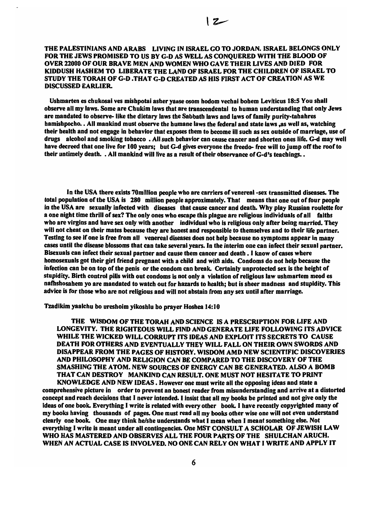#### THE PALESTINIANS AND ARABS LIVING IN ISRAEL GO TO JORDAN. ISRAEL BELONGS ONLY FOR THE JEWS PROMISED TO US BY G-D AS WELL AS CONQUERED WITH THE BLOOD OF OVER 22000 OF OUR BRAVE MEN AND WOMEN WHO GAVE THEIR LIVES AND DIED FOR KlDDUSH HASHEM TO LIBERATE THE LAND OF ISRAEL FOR THE CHILDREN OF ISRAEL TO STUDY THE TORAH OF G-D .THAT G-D CREATED AS HIS FIRST ACT OF CREATION AS WE DISCUSSED EARLIER.

Ushmarten es chukosai ves mishpotai asher yaase osom hodom vechai bobem Leviticus 18:5 You shall observe all my laws. Some are Chukim laws that are transcendental to human understanding that only Jews are mandated to observe- like the dietary laws the Sabbath laws and laws of family purity-tabahres hamishpocho. • All mankind must observe the humane laws the federal and state laws ,as well as, watching their health and not engage in bebavlor that exposes them to become ill such as sex outside of marriage, use of drugs alcohol and smoking tobacco • All such behavior can cause cancer and shorten ones life. G-d may well have decreed that one live for 100 years; but G-d gives everyone the freedo- free will to jump off the roof to their untimely death. . All mankind will live as a result of their observance of G-d's teachings. .

In the USA there exists 70million people who are carriers of venereal-sex transmitted diseases. The total population of tbe USA is 280 million people approximately. That means tbat one out of four people in the USA are sexually infected with diseases that cause cancer and death. Why play Russian roulette for a one night time thrill of sex? The only ones who escape this plague are religious individuals of all faitbs who are virgins and have sex only with anotber individual who is religious only after being married. They will not cheat on their mates because tbey are honest and responsible to themselves and to their life partner. Testing to see if one is free from all venereal diseases does not help because no symptoms appear in many cases until the disease blossoms that can take several years. In the interim one can infect their sexual partner. Bisexuals can infect their sexual partner and cause them cancer and death. I know of cases where homosexuals got their girl friend pregnant witb a child and with aids. Condoms do not help because the infection can be on top of the penis or the condom can break. Certainly unprotected sex is the height of stupidity. Birth control pills with out condoms is not only a violation of religious law ushmartem meod es nafhsbosabem yo are mandated to watch out for hazards to health; but is sheer madness and stupidity. This advice is for those wbo are not religious and will not abstain from any sex until after marriage.

Tzadlkim yaalchu bo ureshoim yikoshlu bo prayer Hoshea 14:10

THE WISDOM OF THE TORAH AND SCIENCE IS A PRESCRIPTION FOR LIFE AND LONGEVITY. THE RIGHTEOUS WILL FIND AND GENERATE LIFE FOLLOWING ITS ADVICE WHILE THE WICKED WILL CORRUPT ITS IDEAS AND EXPLOIT ITS SECRETS TO CAUSE DEATH FOR OTHERS AND EVENTUALLY THEY WILL FALL ON THEIR OWN SWORDS AND DISAPPEAR FROM THE PAGES OF HISTORY. WISDOM AMD NEW SCIENTIFIC DISCOVERIES AND PHILOSOPHY AND RELIGION CAN BE COMPARED TO THE DISCOVERY OF THE SMASHING THE ATOM. NEW SOURCES OF ENERGY CAN BE GENERATED. ALSO A BOMB THAT CAN DESTROY MANKIND CAN RESULT. ONE MUST NOT HESITATE TO PRINT KNOWLEDGE AND NEW IDEAS. However one must write all the opposing ideas and state a

comprehensive picture in order to prevent an honest reader from misunderstanding and arrive at a distorted concept and reach decisions that I never intended. I insist that all my books be printed and not give only the ideas of one book. Everything I write is related with every other book. I have recently copyrighted many of my books having thousands of pages. One must read all my books other wise one will not even understand clearly one book. One may think he/she understands what I mean when I meant something else. Not everything I write is meant under all contingencies. One MST CONSULT A SCHOLAR OF JEWISH LAW WHO HAS MASTERED AND OBSERVES ALL THE FOUR PARTS OF THE SHULCHAN ARUCH. WHEN AN ACTUAL CASE IS INVOLVED. NO ONE CAN RELY ON WHAT I WRITE AND APPLY IT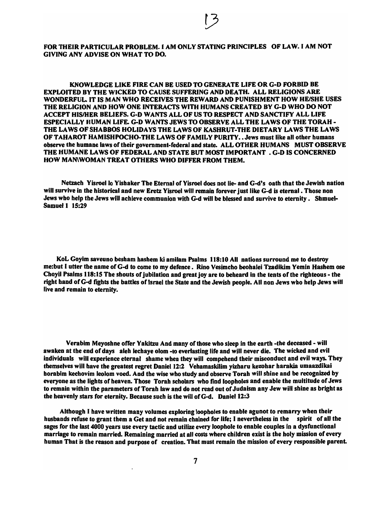FOR THEIR PARTICULAR PROBLEM. I AM ONLY STATING PRINCIPLES OF LAW. I AM NOT GIVING ANY ADVISE ON WHAT TO DO.

KNOWLEDGE LIKE FIRE CAN BE USED TO GENERATE LIFE OR G-D FORBID BE EXPLOITED BY THE WICKED TO CAUSE SUFFERING AND DEATH. ALL RELIGIONS ARE WONDERFUL. IT IS MAN WHO RECEIVES THE REWARD AND PUNISHMENT HOW HE/SHE USES THE RELIGION AND HOW ONE INTERACTS WITH HUMANS CREATED BY G-D WHO DO NOT ACCEPT HISIHER BELIEFS. G-D WANTS ALL OF US TO RESPECT AND SANCTIFY ALL LIFE ESPECIALLY HUMAN LIFE. G-D WANTS JEWS TO OBSERVE ALL THE LAWS OF THE TORAH - THE LAWS OF SHABBOS HOLIDAYS THE LAWS OF KASHRUT-THE DIETARY LAWS THE LAWS OF TAHAROT HAM ISHPOCHO-THE LAWS OF FAMILY PURITY.. Jews must like all other humans observe the humane laws of their government-federal and state. ALL OTHER HUMANS MUST OBSERVE THE HUMANE LAWS OF FEDERAL AND STATE BUT MOST IMPORTANT • G-D IS CONCERNED HOW MAN\WOMAN TREAT OTHERS WHO DIFFER FROM THEM.

Netzach Yisroel lo Yishaker The Eternal of Yisroel does not lie- and G-d's oath that the Jewish nation will survive in the historieal and new Eretz Yisroel will remain forever just like G-d is eternal. Those non Jews wbo help the Jews will acbieve communion with G-d will be blessed and survive to eternity. Shmuel-Samuel 1 15:29

KoL Goyim saveuno besbam hasbem ki amilam Psalms 118:10 All nations surround me to destroy me:but I utter the name ofG-d to come to my defence. Rino Vesimcho beohalei Tzadikim Yemin Hashem ose Choyil Psalms 118: 15 Tbe shouts of jubilation and great joy are to beheard in the tents of the righteous - the right hand of G-d fights the battles of Israel the State and tbe Jewish people. All non Jews who help Jews will live and remain to eternity.

Verabim Meyoshne offer Yakitzu And many of those who sleep in the earth -the deceased - will awaken at the end of days aleh lechaye olom -to everlasting life and will never die. The wicked and evil individuals will experience eternal shame when they will compebend their misconduct and evil ways. They tbemselves will bave the greatest regret Daniel 12:2 Vehamaskilim yizharu kezohar harakia umaazdikai borabim keebovim leolom voed. And the wise who study and observe Torah will sbine and be recognized by everyone as the lights of heaven. Those Torah scholars who find loopholes and enable the multitude of Jews to remain within the parameters of Torah law and do not read out of Judaism any Jew will sbine as bright as the heavenly stars for eternity. Because such is the will of  $G-d.$  Daniel 12:3

Although I have written many volumes exploring loopholes to enable agunot to remarry when their husbands refuse to grant them a Get and not remain chained for life; I nevertheless in the spirit of all the sages for the last 4000 years use every tactic and utilize every loophole to enable couples in a dysfunctional marriage to remain married. Remaining married at all costs where children exist is the holy mission of every human That is the reason and purpose of creation. Tbat must remain the mission of every responsible parent.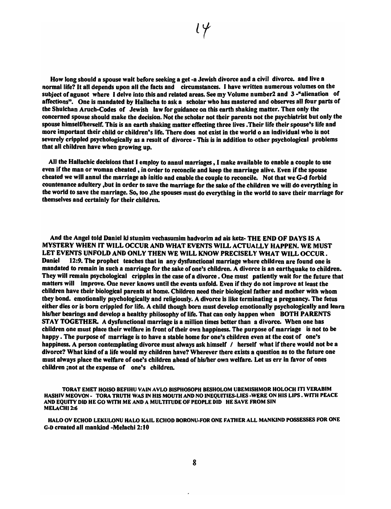How long should a spouse walt before seeking a get -a Jewish divorce and a civil divorce. and live a normal life? It all depends upon all the facts and circumstances. I have written numerous volumes on the subject of agunot where I delve into this and related areas. See my Volume number2 and 3-"alienation of affections". One is mandated by Hallacha to ask a scholar who has mastered and observes all four parts of the Shulchan Aruch-Codes of Jewish law for guidance on this earth shaking matter. Then only the concerned spouse should make the decision. Not the scholar not their parents not the psychiatrist but only the spouse himselflherself. This is an earth shaking matter effecting three lives. Their life their spouse's life and more important their child or children's life. There does not exist in the world 0 an individual who is not severely crippled psychologically as a result of divorce - This is in addition to other psychological problems tbat all children have when growing up.

All the Hallachic decisions that I employ to annul marriages, I make available to enable a couple to use even if the man or woman cheated, in order to reconcile and keep the marriage alive. Even if the spouse cheated we will annul the marriage ab initio and enable the couple to reconcile. Not that we G-d forbid countenance adultery ,but in order to save the marriage for the sake of the children we will do everything in tbe world to save the marriage. So, too ,the spouses must do everything in the world to save their marriage for themselves and certainly for their children.

And the Angel told Daniel ki stumim vechasumim hadvorim ad ais ketz- THE END OF DAYS IS A MYSTERY WHEN IT WILL OCCUR AND WHAT EVENTS WILL ACTUALLY HAPPEN. WE MUST LET EVENTS UNFOLD AND ONLY THEN WE WILL KNOW PRECISELY WHAT WILL OCCUR. Daniel 12:9. The prophet teaches that in any dysfunctional marriage where children are found one is mandated to remain in such a marriage for the sake of one's children. A divorce is an earthquake to children. They will remain psychological cripples in the case of a divorce. One must patiently wait for the future that matters will improve. One never knows until the events unfold. Even if they do not improve at least the children have their biological parents at home. Children need their biological father and mother with whom they bond. emotionally psychologically and religiously. A divorce is like terminating a pregnancy. The fetus either dies or is born crippled for life. A child though bom must develop emotionally psychologically and learn his/her bearings and develop a healthy philosophy of life. That can only happen when BOTH PARENTS STAY TOGETHER. A dysfunctional marriage is a million times better than a divorce. When one has children one must place their welfare in front of tbeir own happiness. The purpose of marriage is not to be happy. The purpose of marriage is to have a stable home for one's children even at the cost of one's happiness. A person contemplating divorce must always ask himself / herself what if there would not be a divorce? What kind of a life would my children have? Wherever there exists a question as to the future one must always place the welfare of one's children ahead of hislher own welfare. Let us err in favor of ones children ;not at the expense of one's children.

TORAT EMET HOISO BEFIHU VAIN AVLO BISPHOSOPH BESHOLOM UBEMISHMOR HOLOCH ITI VERABIM HASHIV MEOVON - TORA TRUTH WAS IN HIS MOUTH AND NO INEQUITIES-LIES -WERE ON HIS LIPS . WITH PEACE AND EQUITY DID HE GO WITH ME AND A MULTITUDE OF PEOPLE DID HE SAVE FROM SIN MELACHI<sub>2:6</sub>

HALO OV ECHOD LEKULONU HALO KAIL ECHOD BORONU·FOR ONE FATHER ALL MANKIND POSSESSES FOR ONE G-D created all mankind -Melachi 2:10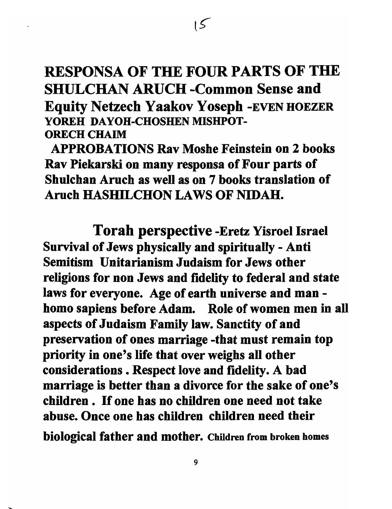# RESPONSA OF THE FOUR PARTS OF THE SHULCHAN ARUCH -Common Sense and Equity Netzech Yaakov Yosepb -EVEN HOEZER YOREH DAYOH-CHOSHEN MISHPOT-ORECH CHAIM

 $\overline{5}$ 

APPROBATIONS Rav Moshe Feinstein on 2 books Rav Piekarski on many responsa of Four parts of Shulchan Aruch as well as on 7 books translation of Aruch HASHILCHON LAWS OF NIDAH.

Torah perspective -Eretz Yisroel Israel Survival of Jews physically and spiritually - Anti Semitism Unitarianism Judaism for Jews other religions for non Jews and fidelity to federal and state laws for everyone. Age of earth universe and man homo sapiens before Adam. Role of women men in all aspects of Judaism Family law. Sanctity of and preservation of ones marriage -that must remain top priority in one's life that over weighs all other considerations. Respect love and fidelity. A bad marriage is better than a divorce for the sake of one's children. If one has no children one need not take abuse. Once one has children children need their biological father and mother. Children from broken homes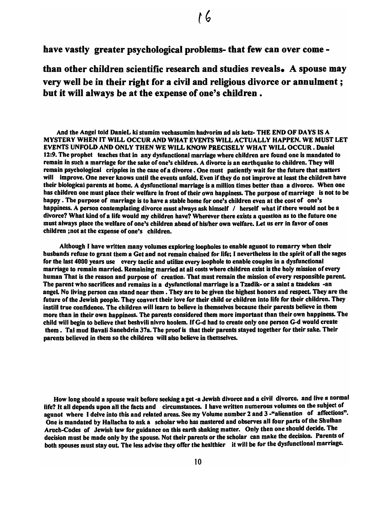have vastly greater psychological problems- that few can over come -

than other children scientific research and studies reveals. A spouse may very well be in their right for a civil and religious divorce or annulment; but it will always be at the expense of one's children.

And the Angel told DanieL ki stumim vechasumim hadvorim ad ais ketz- THE END OF DAYS IS A MYSTERY WHEN IT WILL OCCUR AND WHAT EVENTS WILL ACTUALLY HAPPEN. WE MUST LET EVENTS UNFOLD AND ONLY THEN WE WILL KNOW PRECISELY WHAT WILL OCCUR. Daniel 12:9. The prophet teaches that in any dysfunctional marriage where children are found one is mandated to remain in such a marriage for the sake of one's children. A divorce is an earthquake to children. They will remain psychological cripples in the case of a divorce. One must patiently wait for the future that matters will improve. One never knows until the events unfold. Even if they do not improve at least the children have their biologies I parents at home. A dysfunctional marriage is a million times better than a divoree. When one has children one must place their welfare in front of their own happiness. The purpose of marriage is not to be happy. The purpose of marriage is to have a stable home for one's children even at the cost of one's happiness. A person contemplating divorce must always ask himself / herself what if there would not be a divorce? What kind of a life would my children have? Wherever there exists a question as to the future one must always place the welfare of one's children ahead of his/her own welfare. Let us err in favor of ones children ;not at the expense of one's children.

Although I have written many volumes exploring loopholes to enable agunot to remarry when their husbands refuse to grant them a Get and not remain chained for life; I nevertheless in the spirit of all the sages for the last 4000 years use every tactic and utilize every loophole to enable couples in a dysfunctional marriage to remain married. Remaining married at all costs where children exist is the holy mission of every human That is the reason and purpose of creation. That must remain the mission of every responsible parent. The parent who sacrifices and remains in a dysfunctional marriage is a Tzadik- or a saint a tzadekes -an angeL No living person ean stand near them. They are to be given the highest honors and respect. They are the future of the Jewish people. They convert their love for their child or children into life for their children. They instill true confidence. The children will learn to believe in themselves because their parents believe in them more than in their own happiness. The parents considered them more important than their own happiness. The child will begin to believe that beshvili nivro hoolem. If G-d had to create only one person G-d would create them. Tal mud Davali Sanehdrin 37a. The proof is that their parents stayed together for their sake. Their parents believed in them so the children will also believe in themselves.

How long should a spouse wait before seeking a get -a Jewish divorce and a civil divorce. and live a normal life? It all depends upon all the facts and circumstances. I have written numerous volumes on the subjeet of agunot where I delve into this and related areas. See my Volume number 2 and 3 -"alienation of affections". One is mandated by Hallacha to ask a scholar who has mastered and observes all four parts of the Shulhan Aruch-Codes of Jewish law for guidance on this earth shaking matter. Only then one should decide. The deeision must be made only by the spouse. Not their parents or the scholar ean make the deeision. Parents of both spouses must stay out. The less advise they offer the healthier it will be for the dysfunctional marriage.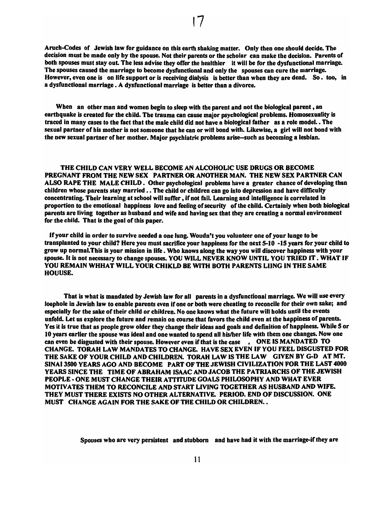Aruch-Codes of Jewish law for guidance on this earth shaking matter. Only then one should deeide. The deeision must be made only by the spouse. Not their parents or the scholar can make the decision. Parents of both spouses must stay out. The less advise they offer the healthier it will be for the dysfunctional marriage. The spouses caused the marriage to become dysfunctional and only the spouses can cure the marriage. However, even one is on life support or is receiving dialysis is better tban wben they are dead. So. too, in a dysfunctional marriage. A dysfunctional marriage is better than a divorce.

When an other man and women begin to sleep with the parent and not the biological parent, an earthquake is created for the child. The trauma can cause major psychological problems. Homosexuality is traced in many cases to the fact that the male child did not have a biological father as a role model. The sexual partner of his mother is not someone that he ean or will bond with. Likewise, a girl will not bond with the new sexual partner of her mother. Major psychiatric problems arise-such as becoming a lesbian.

THE CHILD CAN VERY WELL BECOME AN ALCOHOLIC USE DRUGS OR BECOME PREGNANT FROM THE NEW SEX PARTNER OR ANOTHER MAN. THE NEW SEX PARTNER CAN ALSO RAPE THE MALE CHILD. Other psychological problems have a greater chance of developing than children whose parents stay married . . The child or children can go into depression and have difficulty concentrating. Their learning at school will suffer, if not fail. Learning and intelligence is correlated in proportion to the emotional happiness love and feeling of security of the child. Certainly when both biological parents are living together as husband and wife and having sex that they are creating a normal environment for the child. That is the goal of this paper.

If your child in order to survive needed a one lung. Woudn't you volunteer one of your lunge to be transplanted to your child? Here you must sacrifice your happiness for the next 5-10 -15 years for your child to grow up normal.This is your mission in life. Who knows along the way you will discover happiness with your spouse. It is not necessary to change spouses. YOU WILL NEVER KNOW UNTIL YOU TRIED IT. WHAT IF YOU REMAIN WHHAT WILL YOUR CHIKLD BE WITH BOTH PARENTS LUNG IN THE SAME HOUUSE.

That is what is mandated by Jewish law for all parents in a dysfunctional marriage. We will use every loophole in Jewish law to enable parents even if one or both were cheating to reconcile for their own sake; and especially for the sake of their child or children. No one knows what the future will holds until the events unfold. Let us explore the future and remain on course that favors the child even at the happiness of parents. Yes it is true that as people grow older they change their ideas and goals and definition of happiness. While 5 or 10 years earlier the spouse was ideal and one wanted to spend all hislher life with them one changes. Now one can even be disgusted with their spouse. However even if that is the case , ONE IS MANDATED TO CHANGE. TORAH LAW MANDATES TO CHANGE. HAVE SEX EVEN IF YOU FEEL DISGUSTED FOR THE SAKE OF YOUR CHILD AND CHILDREN. TORAH LAW IS THE LAW GIVEN BY G-D AT MT. SINAI 3500 YEARS AGO AND BECOME PART OF THE JEWISH CIVILIZATION FOR THE LAST 4000 YEARS SINCE THE TIME OF ABRAHAM ISAAC AND JACOB THE PATRIARCHS OF THE JEWISH PEOPLE - ONE MUST CHANGE THEIR ATIITUDE GOALS PHILOSOPHY AND WHAT EVER MOTIVATES THEM TO RECONCILE AND START LIVING TOGETHER AS HUSBAND AND WIFE. THEY MUST THERE EXISTS NO OTHER ALTERNATIVE. PERIOD. END OF DISCUSSION. ONE MUST CHANGE AGAIN FOR THE SAKE OF THE CHILD OR CHILDREN..

Spouses who are very persistent and stubborn and have had it with the marriage-if they are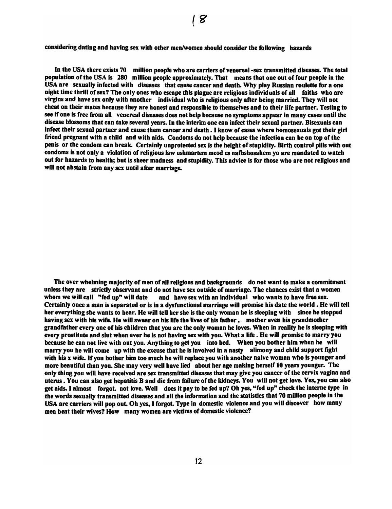considering dating and having sex with other men/women should consider the following hazards

In the USA there exists 70 million people who are carriers of venereal-sex transmitted diseases. The total population of the USA is 280 million people approximately. Tbat means that one out of four people in the USA are sexually infected with diseases that cause cancer and deatb. Why play Russian roulette for a one nigbt time thrill of sex? The only ones who escape this plague are religious individuals of all faiths wbo are virgins and bave sex only witb another individual who is religious only after being married. Tbey will not cheat on tbeir mates because tbey are bonest and responsible to themselves and to their life partner. Testing to see if one is free from all venereal diseases does not belp because no symptoms appear in many cases until the disease blossoms tbat can take several years. In tbe interim one can infect tbeir sexual partner. Bisexuals can infect their sexual partner and cause them cancer and death . I know of cases where homosexuals got their girl friend pregnant with a child and with aids. Condoms do not help because the infection can be on top of the penis or tbe condom can break. Certainly unprotected sex is the heigbt of stupidity. Birth control pills with out condoms is not only a violation of religious law ushmartem meod es nafhshosahem yo are mandated to watch out for hazards to health; but is sheer madness and stupidity. This advice is for those who are not religious and will not abstain from any sex until after marriage.

Tbe over wbelming majority of men of all religions and backgrounds do not want to make a commitment unless they are strictly observant and do not have sex outside of marriage. The cbances exist tbat a women whom we will call "fed up" will date and have sex with an individual who wants to have free sex. Certainly once a man is separated or is in a dysfunctional marriage will promise bis date the world. He will tell her everything she wants to bear. He will tell ber she is tbe only woman be is sleeping witb since he stopped having sex with his wife. He will swear on his life the lives of his father, mother even his grandmother grandfather every one of his children tbat you are tbe only woman he loves. Wben in reality be is sleeping with every prostitute and slut when ever he is not having sex witb you. What a life. He will promise to marry you because he can not live with out you. Anything to get you into bed. When you bother him when he will marry you he will come up with the excuse that he is involved in a nasty alimony and child support fight with his x wife. If you bother him too much he will replace you with another naive woman who is younger and more beautiful than you. Sbe may very well bave lied about ber age making herself 10 years younger. Tbe only tbing you will bave received are sex transmitted diseases that may give you cancer of the cervix vagina and uterus. You can also get hepatitis B and die from failure of the kidneys. You will not get love. Yes, you can also get aids. I almost forgot. not love. Well does it pay to be fed up? Ob yes, "fed up" cbeck the interne type in the words sexually transmitted diseases and all the information and the statistics that 70 million people in the USA are carriers will pop out. Oh yes, I forgot. Type in domestic violence and you will discover how many men beat tbeir wives? How many women are victims of domestic violence?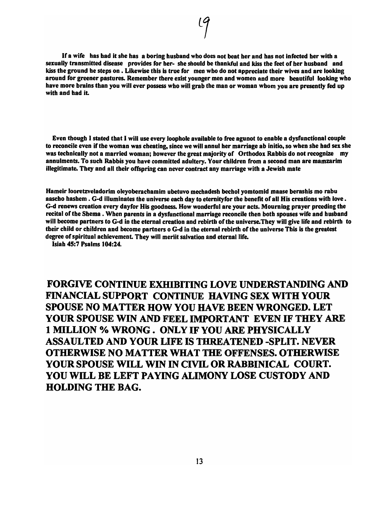If a wife has had it she has a boring husband who does not beat her and has not infected ber with a sexually transmitted disease provides for her- she should be thankful and kiss the feet of her husband and kiss the ground he steps on . Likewise this is true for men who do not appreciate their wives and are looking around for greener pastures. Remember there exist younger men and women and more beautiful looking who have more brains tban you will ever possess wbo will grab the man or woman wbom you are presently fed up with and bad it.

Even though I stated that I will use every loophole available to free agunot to enable a dysfunctional couple to reconcile even if the woman was cheating, since we will annul her marriage ab initio, so when she bad sex she was technically not a married woman; bowever the great majority of Orthodox Rabbis do not recognize my annulments. To such Rabbis you have committed adultery. Your children from a second man are mamzarim illegitimate. They and all their offspring can never contract any marriage with a Jewisb mate

Hameir looretzveladorim oleyoberachamlm ubetuvo mechadesh bechol yomtomld maase berashis mo rabu aascho hashem . G-d illuminates the universe each day to eternity for the benefit of all His creations with love. G-d renews creation every dayfor His goodness. How wonderful are your acts. Mourning prayer prceding the recital of the Shema . When parents in a dysfunctional marriage reconcile then both spouses wife and husband will become partners to G-d in the eternal creation and rebirth of the universe. They will give life and rebirth to their child or children and become partners o G-d in the eternal rebirth of the universe This is the greatest degree of spiritual acbievement. They will meriit salvation and eternal life.

Isiah 45:7 Psalms 104:24.

FORGIVE CONTINUE EXHIBITING LOVE UNDERSTANDING AND FINANCIAL SUPPORT CONTINUE HAVING SEX WITH YOUR SPOUSE NO MATTER HOW YOU HAVE BEEN WRONGED. LET YOUR SPOUSE WIN AND FEEL IMPORTANT EVEN IF THEY ARE 1 MILLION % WRONG. ONLY IF YOU ARE PHYSICALLY ASSAULTED AND YOUR LIFE IS THREATENED -SPLIT. NEVER OTHERWISE NO MATTER WHAT THE OFFENSES. OTHERWISE YOUR SPOUSE WILL WIN IN CIVIL OR RABBINICAL COURT. YOU WILL BE LEFT PAYING ALIMONY LOSE CUSTODY AND HOLDING THE BAG.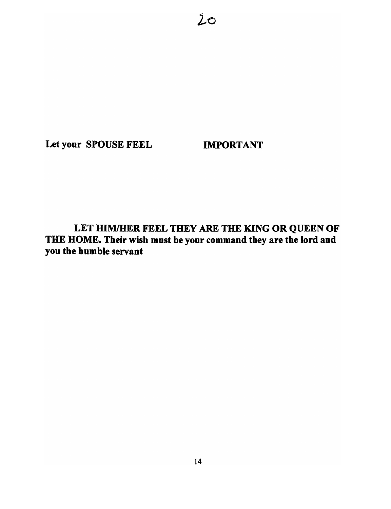Let your SPOUSE FEEL **IMPORTANT** 

 $20$ 

LET HIM/HER FEEL THEY ARE THE KING OR QUEEN OF THE HOME. Their wish must be your command they are the lord and you the humble servant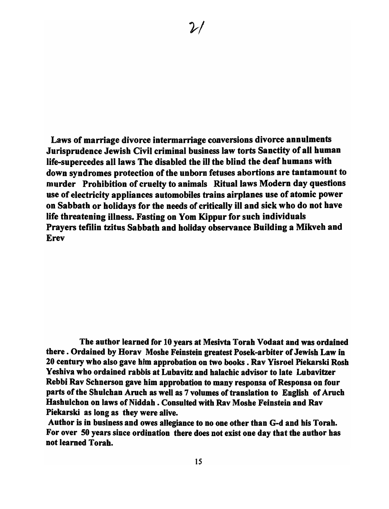Laws of marriage divorce intermarriage conversions divorce annulments Jurisprudence Jewish Civil criminal business law torts Sanctity of all human Iife-supercedes all laws The disabled the ill the blind the deaf humans with down syndromes protection of the unborn fetuses abortions are tantamount to murder Prohibition of cruelty to animals Ritual laws Modern day questions use of electricity appliances automobiles trains airplanes use of atomic power on Sabbath or holidays for the needs of critically ill and sick who do not have life threatening illness. Fasting on Yom Kippur for such individuals Prayers tefilin tzitus Sabbath and holiday observance Building a Mikveh and Erev

The author learned for 10 years at Mesivta Torah Vodaat and was ordained there. Ordained by Borav Moshe Feinstein greatest Posek-arbiter of Jewish Law in 20 century who also gave him approbation on two books. Rav Yisroel Piekarski Rosh Yeshiva who ordained rabbis at Lubavitz and halachic advisor to late Lubavitzer Rebbi Rav Schnerson gave him approbation to many responsa of Responsa on four parts of the Shulchan Aruch as well as 7 volumes of translation to English of Aruch Hashulchon on laws of Niddah • Consulted with Rav Moshe Feinstein and Rav Piekarski as long as they were alive.

Author is in business and owes allegiance to no one other than G-d and his Torah. For over 50 years since ordination there does not exist one day that the author has not learned Torah.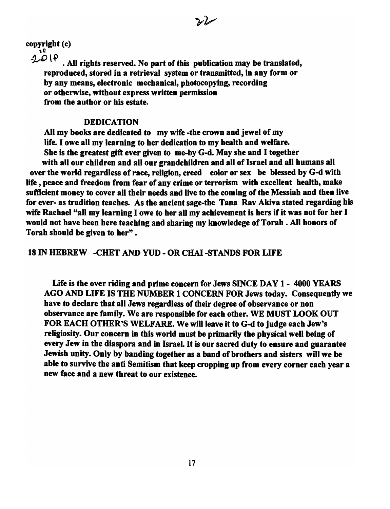copyright (c)

 $2.019$ 

. All rights reserved. No part of this publication may be translated, reproduced, stored in a retrieval system or transmitted, in any form or by any means, electronic mechanical, photocopying, recording or otherwise, without express written permission from the author or his estate.

### DEDICATION

All my books are dedicated to my wife -the crown and jewel of my life. I owe all my learning to her dedication to my health and welfare. She is the greatest gift ever given to me-by G-d. May she and I together with all our children and all our grandchildren and all of Israel and all humans all over the world regardless of race, religion, creed color or sex be blessed by G-d with life, peace and freedom from fear of any crime or terrorism with excellent health, make sufficient money to cover all their needs and live to the coming of the Messiah and then live for ever- as tradition teaches. As the ancient sage-the Tana Rav Akiva stated regarding bis wife Rachael "all my learning I owe to her all my achievement is hers if it was not for her I would not have been here teaching and sharing my knowledege of Torah • All honors of Torah should be given to her".

### 18 IN HEBREW -CHET AND YUD - OR CHAI-STANDS FOR LIFE

Life is the over riding and prime concern for Jews SINCE DAY 1 - 4000 YEARS AGO AND LIFE IS THE NUMBER 1 CONCERN FOR Jews today. Consequently we have to declare that all Jews regardless of their degree of observance or non observance are family. We are responsible for each other. WE MUST LOOK OUT FOR EACH OTHER'S WELFARE. We will leave it to G-d to judge each Jew's religiosity. Our concern in this world must be primarily the physical well being of every Jew in the diaspora and in Israel. It is our sacred duty to ensure and guarantee Jewish unity. Only by banding together as a band of brothers and sisters will we be able to survive the anti Semitism that keep cropping up from every corner each year a new face and a new threat to our existence.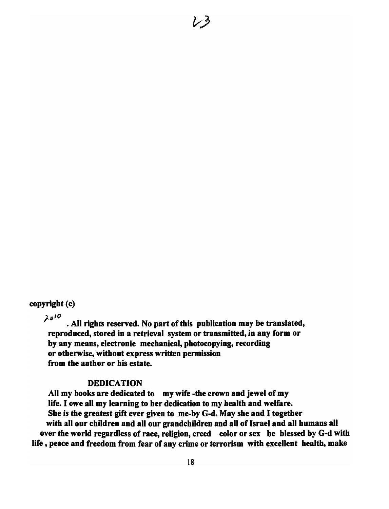### copyright (c)

 $\lambda v^{10}$ . All rights reserved. No part of this publication may be translated, reproduced, stored in a retrieval system or transmitted, in any form or by any means, electronic mechanical, photocopying, recording or otherwise, without express written permission from the author or his estate.

#### DEDICATION

All my books are dedicated to my wife -the crown and jewel of my life. I owe all my learning to her dedication to my health and welfare. She is the greatest gift ever given to me-by G-d. May she and I together with all our children and all our grandchildren and all of Israel and all humans all over the world regardless of race, religion, creed color or sex be blessed by G-d with life, peace and freedom from fear of any crime or terrorism with excellent health, make

ノッ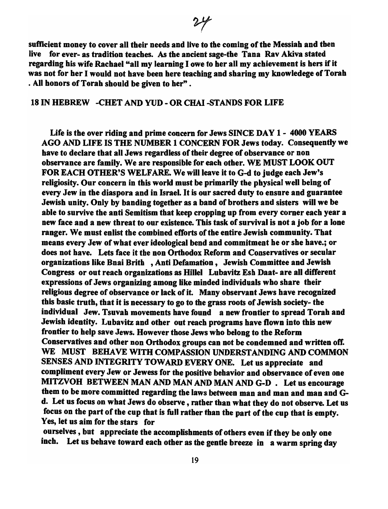sufficient money to cover all their needs and live to the coming of the Messiah and then live for ever- as tradition teaches. As the ancient sage-the Tana Rav Akiva stated regarding his wife Rachael "all my learning lowe to her all my achievement is hers if it was not for her I would not have been here teaching and sharing my knowledege of Torah . All honors of Torah should be given to her" .

### 18 IN HEBREW -CHET AND YUD - OR CHAI -STANDS FOR LIFE

Life is the over riding and prime concern for Jews SINCE DAY 1 - 4000 YEARS AGO AND LIFE IS THE NUMBER 1 CONCERN FOR Jews today. Consequently we have to declare that all Jews regardless of their degree of observance or non observance are family. We are responsible for each other. WE MUST LOOK OUT FOR EACH OTHER'S WELFARE. We will leave it to G-d to judge each Jew's religiosity. Our concern in this world must be primarily the physical well being of every Jew in the diaspora and in Israel. It is our sacred duty to ensure and guarantee Jewish unity. Only by banding together as a band of brothers and sisters will we be able to survive the anti Semitism that keep cropping up from every corner each year a new face and a new threat to our existence. This task of survival is not a job for a lone ranger. We must enlist the combined efforts of the entire Jewish community. That means every Jew of what ever ideological bend and commitment he or she have.; or does not have. Lets face it the non Orthodox Reform and Conservatives or secular organizations like Bnai Brith ,Anti Defamation, Jewish Committee and Jewish Congress or out reach organizations as Hillel Lubavitz Esh Daat- are all different expressions of Jews organizing among like minded individuals who share their religious degree of observance or lack of it. Many observant Jews have recognized this basic truth, that it is necessary to go to the grass roots of Jewish society- the individual Jew. Tsuvah movements have found a new frontier to spread Torah and Jewish identity. Lubavitz and other out reach programs have flown into this new frontier to help save Jews. However those Jews who belong to the Reform Conservatives and other non Orthodox groups can not be condemned and written off. WE MUST BEHAVE WITH COMPASSION UNDERSTANDING AND COMMON SENSES AND INTEGRITY TOWARD EVERY ONE. Let us appreciate and compliment every Jew or Jewess for the positive behavior and observance of even one MITZVOH BETWEEN MAN AND MAN AND MAN AND G-D. Let us encourage them to be more committed regarding the laws between man and man and man and Gd. Let us focus on what Jews do observe, rather than what they do not observe. Let us focus on the part of the cup that is full rather than the part of the cup that is empty. Yes, let us aim for the stars for

ourselves, but appreciate the accomplishments of others even if they be only one inch. Let us behave toward each other as the gentle breeze in a warm spring day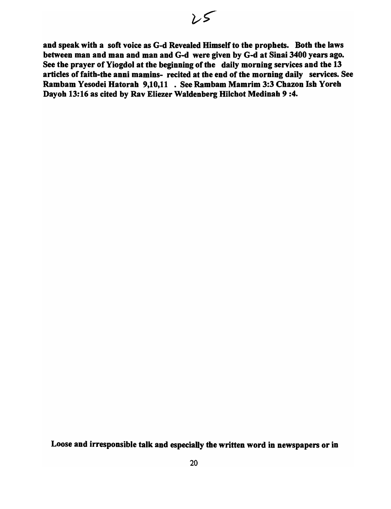and speak with a soft voice as G-d Revealed Himself to the prophets. Both the laws between man and man and man and G-d were given by G-d at Sinai 3400 years ago. See the prayer of Yiogdol at the beginning of the daily morning services and the 13 articles of faith-the anni mamins- recited at the end of the morning daily services. See Rambam Yesodei Hatorah 9,10,11 • See Rambam Mamrim 3:3 Chazon Ish Yoreh Dayoh 13:16 as cited by Rav Eliezer Waldenberg Hilchot Medinah 9:4.

Loose and irresponsible talk and especially the written word in newspapers or in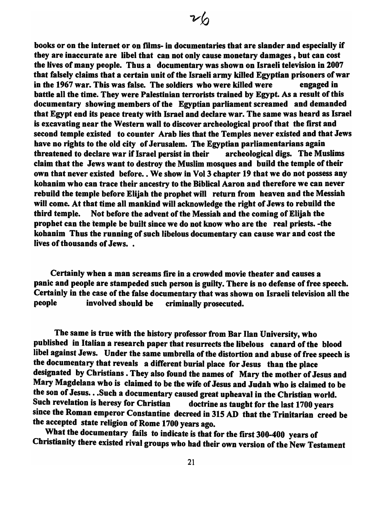books or on the internet or on films- in documentaries that are slander and especially if they are inaccurate are libel that can not only cause monetary damages, but can cost tbe lives of many people. Thus a documentary was shown on Israeli television in 2007 tbat falsely claims tbat a certain unit of the Israeli army killed Egyptian prisoners of war in the 1967 war. This was false. The soldiers who were killed were engaged in battle all the time. They were Palestinian terrorists trained by Egypt. As a result of this documentary showing members of the Egyptian parliament screamed and demanded that Egypt end its peace treaty with Israel and declare war. The same was heard as Israel is excavating near the Western wall to discover archeological proof that the first and second temple existed to counter Arab lies that the Temples never existed and that Jews have no rights to the old city of Jerusalem. The Egyptian parliamentarians again threatened to declare war if Israel persist in their archeological digs. The Muslims claim that the Jews want to destroy the Muslim mosques and build the temple of their own that never existed before. • We show in Vol 3 chapter 19 that we do not possess any kohanim who can trace their ancestry to the Biblical Aaron and therefore we can never rebuild the temple before Elijah the propbet will return from heaven and the Messiah will come. At that time all mankind will acknowledge the right of Jews to rebuild the tbird temple. Not before the advent of the Messiah and the coming of Elijah the prophet can the temple be built since we do not know who are the real priests. -the kohanim Thus the running of such libelous documentary can cause war and cost the lives of thousands of Jews...

Certainly when a man screams fire in a crowded movie theater and causes a panic and people are stampeded such person is guilty. There is no defense of free speech. Certainly in the case of the false documentary that was shown on Israeli television all the people involved should be criminally prosecuted.

The same is true with the history professor from Bar Ilan University, who published in Italian a research paper that resurrects the libelous canard of the blood libel against Jews. Under tbe same umbrella of the distortion and abuse of free speech is the documentary that reveals a different burial place for Jesus than the place designated by Christians. They also found the names of Mary the mother of Jesus and Mary Magdelana who is claimed to be the wife of Jesus and Judah who is claimed to be the son of Jesus...Such a documentary caused great upheaval in the Christian world.<br>Such revelation is heresy for Christian doctrine as taught for the last 1700 vears doctrine as taught for the last 1700 years since the Roman emperor Constantine decreed in 315 AD that the Trinitarian creed be the accepted state religion of Rome 1700 years ago.

What the documentary fails to indicate is that for the first 300-400 years of Christianity tbere existed rival groups who had their own version of the New Testament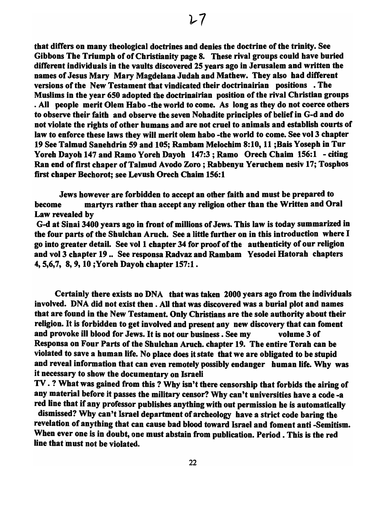that differs on many theological doctrines and denies the doctrine of the trinity. See Gibbons The Triumph of of Christianity page 8. These rival groups could have buried different individuals in the vaults discovered 25 years ago in Jerusalem and written the names of Jesus Mary Mary Magdelana Judah and Mathew. They also had different versions of the New Testament that vindicated their doctrinairian positions • The Muslims in the year 650 adopted the doctrinairian position of the rival Christian groups • All people merit Olem Habo -the world to come. As long as they do not coerce others to observe their faith and observe the seven Nohadite principles of belief in G-d and do not violate the rights of other humans and are not cruel to animals and establish courts of law to enforce these laws they will merit olem habo -the world to come. See vol 3 chapter 19 See Talmud Sanehdrin 59 and 105; Rambam Melochim 8:10, 11 ;Bais Yoseph in Tur Yoreh Dayoh 147 and Ramo Yoreh Dayoh 147:3; Ramo Orech Chaim 156:1 - citing Ran end of first chaper of Talmud Avodo Zoro; Rabbenyu Yeruchem nesiv 17; Tosphos first chaper Bechorot; see Levush Orech Chaim 156: 1

Jews however are forbidden to accept an other faith and must be prepared to become martyrs rather than accept any religion other than the Written and Oral Law revealed by

G-d at Sinai 3400 years ago in front of millions of Jews. This law is today summarized in the four parts of the Shulchan Aruch. See a little further on in this introduction where I go into greater detail. See vol 1 chapter 34 for proof of the authenticity of our religion and vol 3 chapter 19 .. See responsa Radvaz and Rambam Yesodei Hatorah chapters 4,5,6,7, 8,9, 10 ;Yoreh Dayoh chapter 157:1.

Certainly there exists no DNA that was taken 2000 years ago from the individuals involved. DNA did not exist then . All that was discovered was a burial plot and names that are found in the New Testament. Only Christians are the sole authority about their religion. It is forbidden to get involved and present any new discovery that can foment and provoke ill blood for Jews. It is not our business. See my volume 3 of Responsa on Four Parts of the Shulchan Aruch. chapter 19. The entire Torah can be violated to save a human life. No place does it state that we are obligated to be stupid and reveal information that can even remotely possibly endanger human life. Why was it necessary to show the documentary on Israeli

TV. ? What was gained from this ? Why isn't there censorship that forbids the airing of any material before it passes the military censor? Why can't universities have a code -a red line that if any professor publishes anything with out permission he is automatically

dismissed? Why can't Israel department of archeology have a strict code baring the revelation of anything that can cause bad blood toward Israel and foment anti -Semitism. When ever one is in doubt, one must abstain from publication. Period. This is the red line that must not be violated.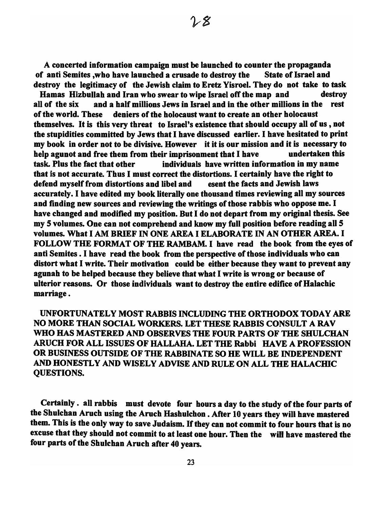A concerted information campaign must be launched to counter the propaganda of anti Semites ,who have launched a crusade to destroy the State of Israel and destroy the legitimacy of the Jewish claim to Eretz Yisroel. They do not take to task

Hamas Hizbullah and Iran who swear to wipe Israel off the map and destroy all of the six and a half millions Jews in Israel and in the other millions in the rest of the world. These deniers of the holocaust want to create an other holocaust themselves. It is this very threat to Israel's existence that should occupy all of us , not the stupidities committed by Jews that I have discussed earlier. I have hesitated to print my book in order not to be divisive. However it it is our mission and it is necessary to help agunot and free them from their imprisonment that I have undertaken this task. Plus the fact that other individuals have written information in my name that is not accurate. Thus I must correct the distortions. I certainly have the right to defend myself from distortions and libel and esent the facts and Jewish laws accurately. I have edited my book literally one thousand times reviewing all my sources and finding new sources and reviewing the writings of those rabbis who oppose me. I have changed and modified my position. But I do not depart from my original thesis. See my 5 volumes. One can not comprehend and know my full position before reading all 5 volumes. What I AM BRIEF IN ONE AREA I ELABORATE IN AN OTHER AREA. I FOLLOW THE FORMAT OF THE RAMBAM. I have read the book from the eyes of anti Semites. I have read the book from the perspective of those individuals who can distort what I write. Their motivation could be either because they want to prevent any agunah to be helped because they believe that what I write is wrong or because of ulterior reasons. Or those individuals want to destroy the entire edifice of Halachic marriage.

UNFORTUNATELY MOST RABBIS INCLUDING THE ORTHODOX TODAY ARE NO MORE THAN SOCIAL WORKERS. LET THESE RABBIS CONSULT A RA V WHO HAS MASTERED AND OBSERVES THE FOUR PARTS OF THE SHULCHAN ARUCH FOR ALL ISSUES OF HALLAHA. LET THE Rabbi HAVE A PROFESSION OR BUSINESS OUTSIDE OF THE RABBINATE SO HE WILL BE INDEPENDENT AND HONESTLY AND WISELY ADVISE AND RULE ON ALL THE HALACHIC QUESTIONS.

Certainly. all rabbis must devote four hours a day to the study of the four parts of the Shulchan Aruch using the Aruch Hashulchon • After 10 years they will have mastered them. This is the only way to save Judaism. If they can not commit to four hours that is no excuse that they should not commit to at least one hour. Then the will have mastered the four parts of the Shulchan Aruch after 40 years.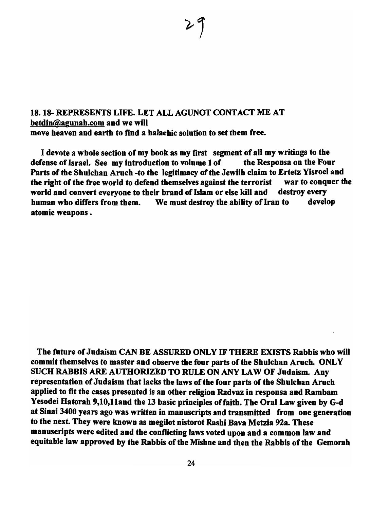### 18. 18- REPRESENTS LIFE. LET ALL AGUNOT CONTACT ME AT betdin@agunab.com and we will move beaven and earth to find a balacbic solution to set tbem free.

I devote a wbole section of my book as my first segment of all my writings to the defense of Israel. See my introduction to volume 1 of the Responsa on the Four Parts of the Shulchan Aruch -to the legitimacy of the Jewiih claim to Ertetz Yisroel and the right of the free world to defend themselves against the terrorist war to conquer the world and convert everyone to their brand of Islam or else kill and destroy every human who differs from them. We must destroy the ability of Iran to develop atomic weapons.

The future of Judaism CAN BE ASSURED ONLY IF THERE EXISTS Rabbis who will commit themselves to master and observe the four parts of the Shulchan Aruch. ONLY SUCH RABBIS ARE AUTHORIZED TO RULE ON ANY LAW OF Judaism. Any representation of Judaism that lacks the laws of the four parts of the Shulchan Aruch applied to fit the cases presented is an other religion Radvaz in responsa and Rambam Yesodei Hatorah 9,10,11and the 13 basic principles of faith. The Oral Law given by G-d at Sinai 3400 years ago was written in manuscripts and transmitted from one generation to the next. They were known as megilot nistorot Rashi Bava Metzia 92a. These manuscripts were edited and the conflicting laws voted upon and a common law and equitable law approved by the Rabbis of the Mishne and then the Rabbis of the Gemorah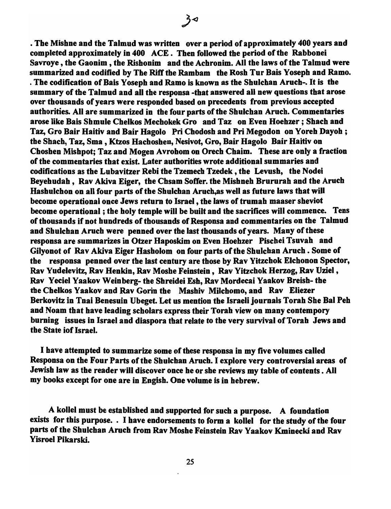• The Mishne and the Talmud was written over a period of approximately 400 years and completed approximately in 400 ACE. Then followed the period of the Rabbonei Savroye , the Gaonim , the Rishonim and the Achronim. All the laws of the Talmud were summarized and codified by The Riff the Rambam the Rosh Tur Bais Yoseph and Ramo. . The codification of Bais Yoseph and Ramo is known as the Shulchan Aruch-. It is the summary of the Talmud and all the responsa -that answered all new questions that arose over thousands of years were responded based on precedents from previous accepted authorities. All are summarized in the four parts of the Shulchan Aruch. Commentaries arose like Bais Shmule Chelkos Mechokek Gro and Taz on Even Hoehzer ; Shach and Taz, Gro Bair Haitiv and Bair Hagolo Pri Chodosh and Pri Megodon on Yoreh Dayoh; the Shach, Taz, Sma, Ktzos Hachoshen, Nesivot, Gro, Bair Hagolo Bair Haitiv on Choshen Mishpot; Taz and Mogen Avrohom on Orech Chaim. These are only a fraction of the commentaries that exist. Later authorities wrote additional summaries and codifications as the Lubavitzer Rebi the Tzemech Tzedek, the Levush, the Nodei Beyehudah, Rav Akiva Eiger, the Chsam Soffer. the Mishneh Brururah and the Aruch Hashulchon on all four parts of the Shulchan Aruch, as well as future laws that will become operational once Jews return to Israel, the laws of trumah maaser sheviot become operational; the holy temple will be built and the sacrifices will commence. Tens of thousands if not hundreds of thousands of Responsa and commentaries on the Talmud and Shulchan Aruch were penned over the last thousands of years. Many of these responsa are summarizes in Otzer Haposkim on Even Hoehzer Pischei Tsuvah and Gilyonot of Rav Akiva Eiger Hasholom on four parts of the Shulchan Aruch. Some of the responsa penned over the last century are those by Rav Yitzchok Elchonon Spector, Rav Yudelevitz, Rav Henkin, Rav Moshe Feinstein, Rav Yitzchok Herzog, Rav Uziel, Rav Yeciel Yaakov Weinberg- the Shreidei Esh, Rav Mordecai Yaakov Breish- the the Chelkos Yaakov and Rav Gorin the Mashiv Milchomo, and Rav Eliezer Berkovitz in Tnai Benesuin Ubeget. Let us mention the Israeli journals Torah She Bal Peh and Noam that have leading scholars express their Torah view on many contempory burning issues in Israel and diaspora that relate to the very survival of Torah Jews and the State iof Israel.

 $3<sup>4</sup>$ 

I have attempted to summarize some of these responsa in my five volumes called Responsa on the Four Parts of the Shulchan Aruch. I explore very controversial areas of Jewish law as the reader will discover once he or she reviews my table of contents. All my books except for one are in Engish. One volume is in hebrew.

A kolle) must be established and supported for such a purpose. A foundation exists for this purpose. • I have endorsements to form a kollel for the study of the four parts of the Shulchan Aruch from Rav Moshe Feinstein Rav Yaakov Kminecki and Rav Yisroel Pikarski.